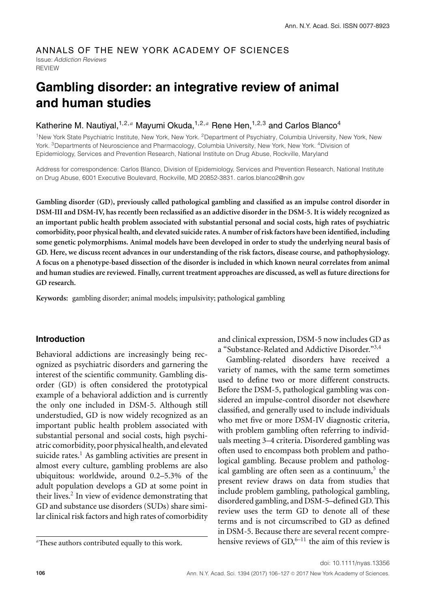#### ANNALS OF THE NEW YORK ACADEMY OF SCIENCES Issue:*Addiction Reviews* REVIEW

# **Gambling disorder: an integrative review of animal and human studies**

# Katherine M. Nautiyal,<sup>1,2,a</sup> Mayumi Okuda,<sup>1,2,a</sup> Rene Hen,<sup>1,2,3</sup> and Carlos Blanco<sup>4</sup>

<sup>1</sup>New York State Psychiatric Institute, New York, New York. <sup>2</sup>Department of Psychiatry, Columbia University, New York, New York. <sup>3</sup>Departments of Neuroscience and Pharmacology, Columbia University, New York, New York. <sup>4</sup>Division of Epidemiology, Services and Prevention Research, National Institute on Drug Abuse, Rockville, Maryland

Address for correspondence: Carlos Blanco, Division of Epidemiology, Services and Prevention Research, National Institute on Drug Abuse, 6001 Executive Boulevard, Rockville, MD 20852-3831. carlos.blanco2@nih.gov

**Gambling disorder (GD), previously called pathological gambling and classified as an impulse control disorder in DSM-III and DSM-IV, has recently been reclassified as an addictive disorder in the DSM-5. It is widely recognized as an important public health problem associated with substantial personal and social costs, high rates of psychiatric comorbidity, poor physical health, and elevated suicide rates. A number of risk factors have been identified, including some genetic polymorphisms. Animal models have been developed in order to study the underlying neural basis of GD. Here, we discuss recent advances in our understanding of the risk factors, disease course, and pathophysiology. A focus on a phenotype-based dissection of the disorder is included in which known neural correlates from animal and human studies are reviewed. Finally, current treatment approaches are discussed, as well as future directions for GD research.**

**Keywords:** gambling disorder; animal models; impulsivity; pathological gambling

#### **Introduction**

Behavioral addictions are increasingly being recognized as psychiatric disorders and garnering the interest of the scientific community. Gambling disorder (GD) is often considered the prototypical example of a behavioral addiction and is currently the only one included in DSM-5. Although still understudied, GD is now widely recognized as an important public health problem associated with substantial personal and social costs, high psychiatric comorbidity, poor physical health, and elevated suicide rates. $<sup>1</sup>$  As gambling activities are present in</sup> almost every culture, gambling problems are also ubiquitous: worldwide, around 0.2–5.3% of the adult population develops a GD at some point in their lives.<sup>2</sup> In view of evidence demonstrating that GD and substance use disorders (SUDs) share similar clinical risk factors and high rates of comorbidity and clinical expression, DSM-5 now includes GD as a "Substance-Related and Addictive Disorder."3,4

Gambling-related disorders have received a variety of names, with the same term sometimes used to define two or more different constructs. Before the DSM-5, pathological gambling was considered an impulse-control disorder not elsewhere classified, and generally used to include individuals who met five or more DSM-IV diagnostic criteria, with problem gambling often referring to individuals meeting 3–4 criteria. Disordered gambling was often used to encompass both problem and pathological gambling. Because problem and pathological gambling are often seen as a continuum, $5$  the present review draws on data from studies that include problem gambling, pathological gambling, disordered gambling, and DSM-5–defined GD. This review uses the term GD to denote all of these terms and is not circumscribed to GD as defined in DSM-5. Because there are several recent comprehensive reviews of  $GD<sub>0</sub><sup>6–11</sup>$  the aim of this review is

*<sup>a</sup>*These authors contributed equally to this work.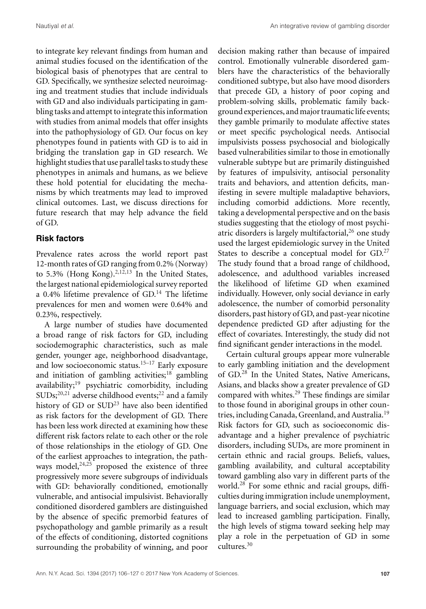to integrate key relevant findings from human and animal studies focused on the identification of the biological basis of phenotypes that are central to GD. Specifically, we synthesize selected neuroimaging and treatment studies that include individuals with GD and also individuals participating in gambling tasks and attempt to integrate this information with studies from animal models that offer insights into the pathophysiology of GD. Our focus on key phenotypes found in patients with GD is to aid in bridging the translation gap in GD research. We highlight studies that use parallel tasks to study these phenotypes in animals and humans, as we believe these hold potential for elucidating the mechanisms by which treatments may lead to improved clinical outcomes. Last, we discuss directions for future research that may help advance the field of GD.

# **Risk factors**

Prevalence rates across the world report past 12-month rates of GD ranging from 0.2% (Norway) to 5.3% (Hong Kong).<sup>2,12,13</sup> In the United States, the largest national epidemiological survey reported a 0.4% lifetime prevalence of  $GD<sup>14</sup>$ . The lifetime prevalences for men and women were 0.64% and 0.23%, respectively.

A large number of studies have documented a broad range of risk factors for GD, including sociodemographic characteristics, such as male gender, younger age, neighborhood disadvantage, and low socioeconomic status.<sup>15–17</sup> Early exposure and initiation of gambling activities;<sup>18</sup> gambling availability;<sup>19</sup> psychiatric comorbidity, including  $\text{SUBs;}^{20,21}$  adverse childhood events;<sup>22</sup> and a family history of GD or SUD<sup>23</sup> have also been identified as risk factors for the development of GD. There has been less work directed at examining how these different risk factors relate to each other or the role of those relationships in the etiology of GD. One of the earliest approaches to integration, the pathways model, $24,25$  proposed the existence of three progressively more severe subgroups of individuals with GD: behaviorally conditioned, emotionally vulnerable, and antisocial impulsivist. Behaviorally conditioned disordered gamblers are distinguished by the absence of specific premorbid features of psychopathology and gamble primarily as a result of the effects of conditioning, distorted cognitions surrounding the probability of winning, and poor

decision making rather than because of impaired control. Emotionally vulnerable disordered gamblers have the characteristics of the behaviorally conditioned subtype, but also have mood disorders that precede GD, a history of poor coping and problem-solving skills, problematic family background experiences, andmajor traumatic life events; they gamble primarily to modulate affective states or meet specific psychological needs. Antisocial impulsivists possess psychosocial and biologically based vulnerabilities similar to those in emotionally vulnerable subtype but are primarily distinguished by features of impulsivity, antisocial personality traits and behaviors, and attention deficits, manifesting in severe multiple maladaptive behaviors, including comorbid addictions. More recently, taking a developmental perspective and on the basis studies suggesting that the etiology of most psychiatric disorders is largely multifactorial, $^{26}$  one study used the largest epidemiologic survey in the United States to describe a conceptual model for GD.<sup>27</sup> The study found that a broad range of childhood, adolescence, and adulthood variables increased the likelihood of lifetime GD when examined individually. However, only social deviance in early adolescence, the number of comorbid personality disorders, past history of GD, and past-year nicotine dependence predicted GD after adjusting for the effect of covariates. Interestingly, the study did not find significant gender interactions in the model.

Certain cultural groups appear more vulnerable to early gambling initiation and the development of GD.<sup>28</sup> In the United States, Native Americans, Asians, and blacks show a greater prevalence of GD compared with whites.<sup>29</sup> These findings are similar to those found in aboriginal groups in other countries, including Canada, Greenland, and Australia.<sup>19</sup> Risk factors for GD, such as socioeconomic disadvantage and a higher prevalence of psychiatric disorders, including SUDs, are more prominent in certain ethnic and racial groups. Beliefs, values, gambling availability, and cultural acceptability toward gambling also vary in different parts of the world.<sup>28</sup> For some ethnic and racial groups, difficulties during immigration include unemployment, language barriers, and social exclusion, which may lead to increased gambling participation. Finally, the high levels of stigma toward seeking help may play a role in the perpetuation of GD in some cultures.<sup>30</sup>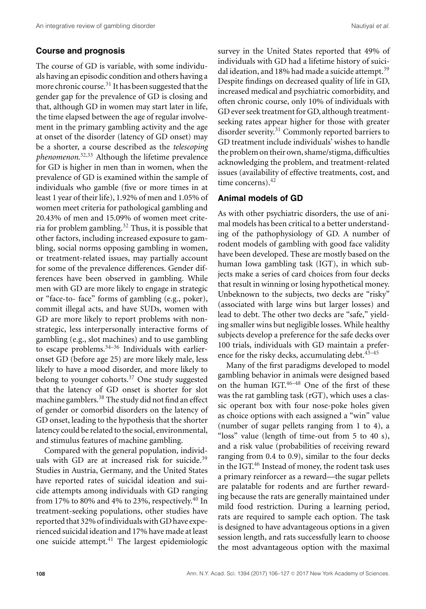# **Course and prognosis**

The course of GD is variable, with some individuals having an episodic condition and others having a more chronic course. $31$  It has been suggested that the gender gap for the prevalence of GD is closing and that, although GD in women may start later in life, the time elapsed between the age of regular involvement in the primary gambling activity and the age at onset of the disorder (latency of GD onset) may be a shorter, a course described as the *telescoping phenomenon*. 32,33 Although the lifetime prevalence for GD is higher in men than in women, when the prevalence of GD is examined within the sample of individuals who gamble (five or more times in at least 1 year of their life), 1.92% of men and 1.05% of women meet criteria for pathological gambling and 20.43% of men and 15.09% of women meet criteria for problem gambling.<sup>32</sup> Thus, it is possible that other factors, including increased exposure to gambling, social norms opposing gambling in women, or treatment-related issues, may partially account for some of the prevalence differences. Gender differences have been observed in gambling. While men with GD are more likely to engage in strategic or "face-to- face" forms of gambling (e.g., poker), commit illegal acts, and have SUDs, women with GD are more likely to report problems with nonstrategic, less interpersonally interactive forms of gambling (e.g., slot machines) and to use gambling to escape problems. $34-36$  Individuals with earlieronset GD (before age 25) are more likely male, less likely to have a mood disorder, and more likely to belong to younger cohorts.<sup>37</sup> One study suggested that the latency of GD onset is shorter for slot machine gamblers.<sup>38</sup> The study did not find an effect of gender or comorbid disorders on the latency of GD onset, leading to the hypothesis that the shorter latency could be related to the social, environmental, and stimulus features of machine gambling.

Compared with the general population, individuals with GD are at increased risk for suicide.<sup>39</sup> Studies in Austria, Germany, and the United States have reported rates of suicidal ideation and suicide attempts among individuals with GD ranging from 17% to 80% and 4% to 23%, respectively.<sup>40</sup> In treatment-seeking populations, other studies have reported that 32% of individualswith GD have experienced suicidal ideation and 17% have made at least one suicide attempt.<sup>41</sup> The largest epidemiologic survey in the United States reported that 49% of individuals with GD had a lifetime history of suicidal ideation, and 18% had made a suicide attempt.<sup>39</sup> Despite findings on decreased quality of life in GD, increased medical and psychiatric comorbidity, and often chronic course, only 10% of individuals with GD ever seek treatment for GD, although treatmentseeking rates appear higher for those with greater disorder severity.<sup>31</sup> Commonly reported barriers to GD treatment include individuals' wishes to handle the problem on their own, shame/stigma, difficulties acknowledging the problem, and treatment-related issues (availability of effective treatments, cost, and time concerns).<sup>42</sup>

# **Animal models of GD**

As with other psychiatric disorders, the use of animal models has been critical to a better understanding of the pathophysiology of GD. A number of rodent models of gambling with good face validity have been developed. These are mostly based on the human Iowa gambling task (IGT), in which subjects make a series of card choices from four decks that result in winning or losing hypothetical money. Unbeknown to the subjects, two decks are "risky" (associated with large wins but larger losses) and lead to debt. The other two decks are "safe," yielding smaller wins but negligible losses. While healthy subjects develop a preference for the safe decks over 100 trials, individuals with GD maintain a preference for the risky decks, accumulating debt.<sup>43-45</sup>

Many of the first paradigms developed to model gambling behavior in animals were designed based on the human IGT.46–48 One of the first of these was the rat gambling task (rGT), which uses a classic operant box with four nose-poke holes given as choice options with each assigned a "win" value (number of sugar pellets ranging from 1 to 4), a "loss" value (length of time-out from 5 to 40 s), and a risk value (probabilities of receiving reward ranging from 0.4 to 0.9), similar to the four decks in the IGT.<sup>46</sup> Instead of money, the rodent task uses a primary reinforcer as a reward—the sugar pellets are palatable for rodents and are further rewarding because the rats are generally maintained under mild food restriction. During a learning period, rats are required to sample each option. The task is designed to have advantageous options in a given session length, and rats successfully learn to choose the most advantageous option with the maximal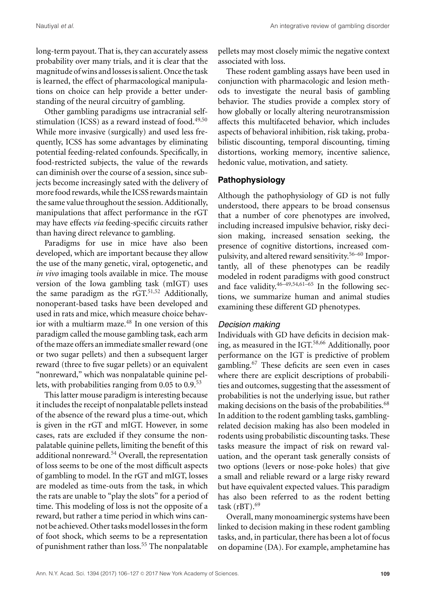long-term payout. That is, they can accurately assess probability over many trials, and it is clear that the magnitude of wins and losses is salient. Once the task is learned, the effect of pharmacological manipulations on choice can help provide a better understanding of the neural circuitry of gambling.

Other gambling paradigms use intracranial selfstimulation (ICSS) as a reward instead of food.<sup>49,50</sup> While more invasive (surgically) and used less frequently, ICSS has some advantages by eliminating potential feeding-related confounds. Specifically, in food-restricted subjects, the value of the rewards can diminish over the course of a session, since subjects become increasingly sated with the delivery of more food rewards, while the ICSS rewards maintain the same value throughout the session. Additionally, manipulations that affect performance in the rGT may have effects *via* feeding-specific circuits rather than having direct relevance to gambling.

Paradigms for use in mice have also been developed, which are important because they allow the use of the many genetic, viral, optogenetic, and *in vivo* imaging tools available in mice. The mouse version of the Iowa gambling task (mIGT) uses the same paradigm as the rGT.<sup>51,52</sup> Additionally, nonoperant-based tasks have been developed and used in rats and mice, which measure choice behavior with a multiarm maze.<sup>48</sup> In one version of this paradigm called the mouse gambling task, each arm of the maze offers an immediate smaller reward (one or two sugar pellets) and then a subsequent larger reward (three to five sugar pellets) or an equivalent "nonreward," which was nonpalatable quinine pellets, with probabilities ranging from 0.05 to 0.9.<sup>53</sup>

This latter mouse paradigm is interesting because it includes the receipt of nonpalatable pellets instead of the absence of the reward plus a time-out, which is given in the rGT and mIGT. However, in some cases, rats are excluded if they consume the nonpalatable quinine pellets, limiting the benefit of this additional nonreward.<sup>54</sup> Overall, the representation of loss seems to be one of the most difficult aspects of gambling to model. In the rGT and mIGT, losses are modeled as time-outs from the task, in which the rats are unable to "play the slots" for a period of time. This modeling of loss is not the opposite of a reward, but rather a time period in which wins cannot be achieved. Other tasks model losses in the form of foot shock, which seems to be a representation of punishment rather than loss.<sup>55</sup> The nonpalatable

pellets may most closely mimic the negative context associated with loss.

These rodent gambling assays have been used in conjunction with pharmacologic and lesion methods to investigate the neural basis of gambling behavior. The studies provide a complex story of how globally or locally altering neurotransmission affects this multifaceted behavior, which includes aspects of behavioral inhibition, risk taking, probabilistic discounting, temporal discounting, timing distortions, working memory, incentive salience, hedonic value, motivation, and satiety.

# **Pathophysiology**

Although the pathophysiology of GD is not fully understood, there appears to be broad consensus that a number of core phenotypes are involved, including increased impulsive behavior, risky decision making, increased sensation seeking, the presence of cognitive distortions, increased compulsivity, and altered reward sensitivity.56–60 Importantly, all of these phenotypes can be readily modeled in rodent paradigms with good construct and face validity.<sup>46–49,54,61–65</sup> In the following sections, we summarize human and animal studies examining these different GD phenotypes.

# *Decision making*

Individuals with GD have deficits in decision making, as measured in the IGT.58,66 Additionally, poor performance on the IGT is predictive of problem gambling.<sup>67</sup> These deficits are seen even in cases where there are explicit descriptions of probabilities and outcomes, suggesting that the assessment of probabilities is not the underlying issue, but rather making decisions on the basis of the probabilities.<sup>68</sup> In addition to the rodent gambling tasks, gamblingrelated decision making has also been modeled in rodents using probabilistic discounting tasks. These tasks measure the impact of risk on reward valuation, and the operant task generally consists of two options (levers or nose-poke holes) that give a small and reliable reward or a large risky reward but have equivalent expected values. This paradigm has also been referred to as the rodent betting task  $(rBT)$ .<sup>69</sup>

Overall, many monoaminergic systems have been linked to decision making in these rodent gambling tasks, and, in particular, there has been a lot of focus on dopamine (DA). For example, amphetamine has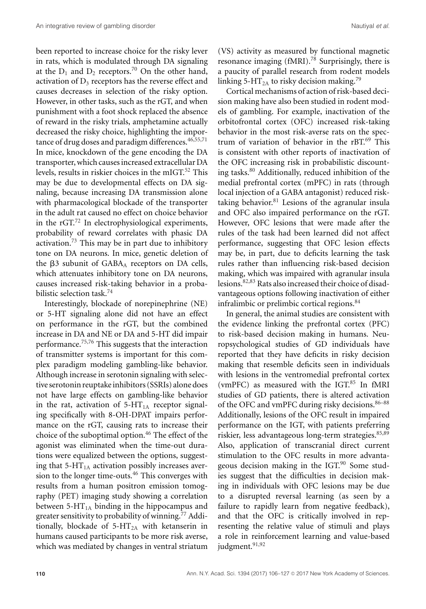been reported to increase choice for the risky lever in rats, which is modulated through DA signaling at the  $D_1$  and  $D_2$  receptors.<sup>70</sup> On the other hand, activation of  $D_3$  receptors has the reverse effect and causes decreases in selection of the risky option. However, in other tasks, such as the rGT, and when punishment with a foot shock replaced the absence of reward in the risky trials, amphetamine actually decreased the risky choice, highlighting the importance of drug doses and paradigm differences.  $46,55,71$ In mice, knockdown of the gene encoding the DA transporter, which causes increased extracellular DA levels, results in riskier choices in the mIGT.<sup>52</sup> This may be due to developmental effects on DA signaling, because increasing DA transmission alone with pharmacological blockade of the transporter in the adult rat caused no effect on choice behavior in the rGT.<sup>72</sup> In electrophysiological experiments, probability of reward correlates with phasic DA activation.73 This may be in part due to inhibitory tone on DA neurons. In mice, genetic deletion of the  $\beta$ 3 subunit of GABA<sub>A</sub> receptors on DA cells, which attenuates inhibitory tone on DA neurons, causes increased risk-taking behavior in a probabilistic selection task.<sup>74</sup>

Interestingly, blockade of norepinephrine (NE) or 5-HT signaling alone did not have an effect on performance in the rGT, but the combined increase in DA and NE or DA and 5-HT did impair performance.75,76 This suggests that the interaction of transmitter systems is important for this complex paradigm modeling gambling-like behavior. Although increase in serotonin signaling with selective serotonin reuptake inhibitors (SSRIs) alone does not have large effects on gambling-like behavior in the rat, activation of  $5-HT<sub>1A</sub>$  receptor signaling specifically with 8-OH-DPAT impairs performance on the rGT, causing rats to increase their choice of the suboptimal option.<sup>46</sup> The effect of the agonist was eliminated when the time-out durations were equalized between the options, suggesting that  $5-HT<sub>1A</sub>$  activation possibly increases aversion to the longer time-outs.<sup>46</sup> This converges with results from a human positron emission tomography (PET) imaging study showing a correlation between  $5-HT<sub>1A</sub>$  binding in the hippocampus and greater sensitivity to probability of winning.<sup>77</sup> Additionally, blockade of  $5-HT_{2A}$  with ketanserin in humans caused participants to be more risk averse, which was mediated by changes in ventral striatum (VS) activity as measured by functional magnetic resonance imaging (fMRI).<sup>78</sup> Surprisingly, there is a paucity of parallel research from rodent models linking 5-HT<sub>2A</sub> to risky decision making.<sup>79</sup>

Cortical mechanisms of action of risk-based decision making have also been studied in rodent models of gambling. For example, inactivation of the orbitofrontal cortex (OFC) increased risk-taking behavior in the most risk-averse rats on the spectrum of variation of behavior in the rBT.<sup>69</sup> This is consistent with other reports of inactivation of the OFC increasing risk in probabilistic discounting tasks.<sup>80</sup> Additionally, reduced inhibition of the medial prefrontal cortex (mPFC) in rats (through local injection of a GABA antagonist) reduced risktaking behavior.<sup>81</sup> Lesions of the agranular insula and OFC also impaired performance on the rGT. However, OFC lesions that were made after the rules of the task had been learned did not affect performance, suggesting that OFC lesion effects may be, in part, due to deficits learning the task rules rather than influencing risk-based decision making, which was impaired with agranular insula lesions.82,83 Rats also increased their choice of disadvantageous options following inactivation of either infralimbic or prelimbic cortical regions.<sup>84</sup>

In general, the animal studies are consistent with the evidence linking the prefrontal cortex (PFC) to risk-based decision making in humans. Neuropsychological studies of GD individuals have reported that they have deficits in risky decision making that resemble deficits seen in individuals with lesions in the ventromedial prefrontal cortex (vmPFC) as measured with the IGT.85 In fMRI studies of GD patients, there is altered activation of the OFC and vmPFC during risky decisions. $86-88$ Additionally, lesions of the OFC result in impaired performance on the IGT, with patients preferring riskier, less advantageous long-term strategies.<sup>85,89</sup> Also, application of transcranial direct current stimulation to the OFC results in more advantageous decision making in the IGT.90 Some studies suggest that the difficulties in decision making in individuals with OFC lesions may be due to a disrupted reversal learning (as seen by a failure to rapidly learn from negative feedback), and that the OFC is critically involved in representing the relative value of stimuli and plays a role in reinforcement learning and value-based judgment.<sup>91,92</sup>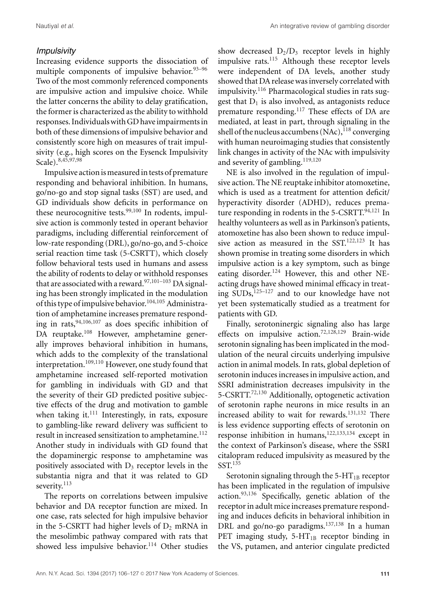## *Impulsivity*

Increasing evidence supports the dissociation of multiple components of impulsive behavior.<sup>93-96</sup> Two of the most commonly referenced components are impulsive action and impulsive choice. While the latter concerns the ability to delay gratification, the former is characterized as the ability to withhold responses. Individualswith GD have impairments in both of these dimensions of impulsive behavior and consistently score high on measures of trait impulsivity (e.g., high scores on the Eysenck Impulsivity Scale).<sup>8,45,97,98</sup>

Impulsive action is measured in tests of premature responding and behavioral inhibition. In humans, go/no-go and stop signal tasks (SST) are used, and GD individuals show deficits in performance on these neurocognitive tests. $99,100$  In rodents, impulsive action is commonly tested in operant behavior paradigms, including differential reinforcement of low-rate responding (DRL), go/no-go, and 5-choice serial reaction time task (5-CSRTT), which closely follow behavioral tests used in humans and assess the ability of rodents to delay or withhold responses that are associated with a reward.<sup>97,101–103</sup> DA signaling has been strongly implicated in the modulation of this type of impulsive behavior.<sup>104,105</sup> Administration of amphetamine increases premature responding in rats,  $94,106,107$  as does specific inhibition of DA reuptake.<sup>108</sup> However, amphetamine generally improves behavioral inhibition in humans, which adds to the complexity of the translational interpretation.<sup>109,110</sup> However, one study found that amphetamine increased self-reported motivation for gambling in individuals with GD and that the severity of their GD predicted positive subjective effects of the drug and motivation to gamble when taking it. $^{111}$  Interestingly, in rats, exposure to gambling-like reward delivery was sufficient to result in increased sensitization to amphetamine.<sup>112</sup> Another study in individuals with GD found that the dopaminergic response to amphetamine was positively associated with  $D_3$  receptor levels in the substantia nigra and that it was related to GD severity.<sup>113</sup>

The reports on correlations between impulsive behavior and DA receptor function are mixed. In one case, rats selected for high impulsive behavior in the 5-CSRTT had higher levels of  $D_2$  mRNA in the mesolimbic pathway compared with rats that showed less impulsive behavior.<sup>114</sup> Other studies show decreased  $D_2/D_3$  receptor levels in highly impulsive rats.<sup>115</sup> Although these receptor levels were independent of DA levels, another study showed that DA release was inversely correlated with impulsivity.<sup>116</sup> Pharmacological studies in rats suggest that  $D_1$  is also involved, as antagonists reduce premature responding.<sup>117</sup> These effects of DA are mediated, at least in part, through signaling in the shell of the nucleus accumbens  $(NAc)^{118}$  converging with human neuroimaging studies that consistently link changes in activity of the NAc with impulsivity and severity of gambling.<sup>119,120</sup>

NE is also involved in the regulation of impulsive action. The NE reuptake inhibitor atomoxetine, which is used as a treatment for attention deficit/ hyperactivity disorder (ADHD), reduces premature responding in rodents in the 5-CSRTT.<sup>94,121</sup> In healthy volunteers as well as in Parkinson's patients, atomoxetine has also been shown to reduce impulsive action as measured in the SST.122,123 It has shown promise in treating some disorders in which impulsive action is a key symptom, such as binge eating disorder.<sup>124</sup> However, this and other NEacting drugs have showed minimal efficacy in treating  $\text{SUBs}$ <sup>125–127</sup> and to our knowledge have not yet been systematically studied as a treatment for patients with GD.

Finally, serotoninergic signaling also has large effects on impulsive action.72,128,129 Brain-wide serotonin signaling has been implicated in the modulation of the neural circuits underlying impulsive action in animal models. In rats, global depletion of serotonin induces increases in impulsive action, and SSRI administration decreases impulsivity in the 5-CSRTT.72,130 Additionally, optogenetic activation of serotonin raphe neurons in mice results in an increased ability to wait for rewards.<sup>131,132</sup> There is less evidence supporting effects of serotonin on response inhibition in humans, $122,133,134$  except in the context of Parkinson's disease, where the SSRI citalopram reduced impulsivity as measured by the SST.<sup>135</sup>

Serotonin signaling through the  $5-HT_{1B}$  receptor has been implicated in the regulation of impulsive action.93,136 Specifically, genetic ablation of the receptor in adult mice increases premature responding and induces deficits in behavioral inhibition in DRL and go/no-go paradigms.<sup>137,138</sup> In a human PET imaging study,  $5-HT_{1B}$  receptor binding in the VS, putamen, and anterior cingulate predicted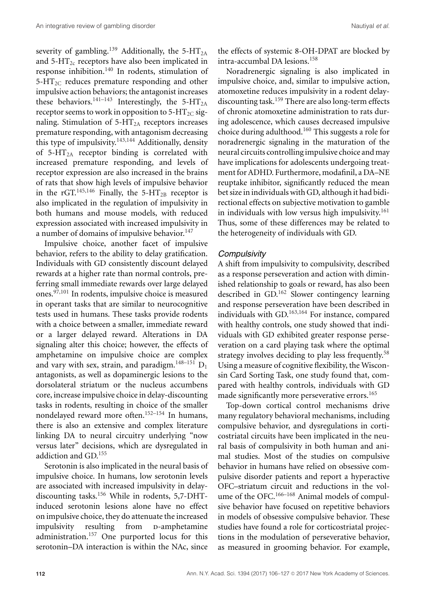severity of gambling.<sup>139</sup> Additionally, the 5-HT<sub>2A</sub> and  $5-\text{HT}_{2c}$  receptors have also been implicated in response inhibition.<sup>140</sup> In rodents, stimulation of  $5-\text{HT}_{2C}$  reduces premature responding and other impulsive action behaviors; the antagonist increases these behaviors.<sup>141–143</sup> Interestingly, the 5-HT<sub>2A</sub> receptor seems to work in opposition to  $5-HT_{2C}$  signaling. Stimulation of  $5-HT_{2A}$  receptors increases premature responding, with antagonism decreasing this type of impulsivity.<sup>143,144</sup> Additionally, density of 5-HT2A receptor binding is correlated with increased premature responding, and levels of receptor expression are also increased in the brains of rats that show high levels of impulsive behavior in the rGT.<sup>145,146</sup> Finally, the 5-HT<sub>2B</sub> receptor is also implicated in the regulation of impulsivity in both humans and mouse models, with reduced expression associated with increased impulsivity in a number of domains of impulsive behavior.<sup>147</sup>

Impulsive choice, another facet of impulsive behavior, refers to the ability to delay gratification. Individuals with GD consistently discount delayed rewards at a higher rate than normal controls, preferring small immediate rewards over large delayed ones.97,101 In rodents, impulsive choice is measured in operant tasks that are similar to neurocognitive tests used in humans. These tasks provide rodents with a choice between a smaller, immediate reward or a larger delayed reward. Alterations in DA signaling alter this choice; however, the effects of amphetamine on impulsive choice are complex and vary with sex, strain, and paradigm.<sup>148-151</sup>  $D_1$ antagonists, as well as dopaminergic lesions to the dorsolateral striatum or the nucleus accumbens core, increase impulsive choice in delay-discounting tasks in rodents, resulting in choice of the smaller nondelayed reward more often.152–154 In humans, there is also an extensive and complex literature linking DA to neural circuitry underlying "now versus later" decisions, which are dysregulated in addiction and GD.<sup>155</sup>

Serotonin is also implicated in the neural basis of impulsive choice. In humans, low serotonin levels are associated with increased impulsivity in delaydiscounting tasks.<sup>156</sup> While in rodents, 5,7-DHTinduced serotonin lesions alone have no effect on impulsive choice, they do attenuate the increased impulsivity resulting from p-amphetamine administration.<sup>157</sup> One purported locus for this serotonin–DA interaction is within the NAc, since

Noradrenergic signaling is also implicated in impulsive choice, and, similar to impulsive action, atomoxetine reduces impulsivity in a rodent delaydiscounting task.<sup>159</sup> There are also long-term effects of chronic atomoxetine administration to rats during adolescence, which causes decreased impulsive choice during adulthood.160 This suggests a role for noradrenergic signaling in the maturation of the neural circuits controlling impulsive choice and may have implications for adolescents undergoing treatment for ADHD. Furthermore, modafinil, a DA–NE reuptake inhibitor, significantly reduced the mean bet size in individuals with GD, although it had bidirectional effects on subjective motivation to gamble in individuals with low versus high impulsivity. $161$ Thus, some of these differences may be related to the heterogeneity of individuals with GD.

#### *Compulsivity*

A shift from impulsivity to compulsivity, described as a response perseveration and action with diminished relationship to goals or reward, has also been described in GD.<sup>162</sup> Slower contingency learning and response perseveration have been described in individuals with GD.163,164 For instance, compared with healthy controls, one study showed that individuals with GD exhibited greater response perseveration on a card playing task where the optimal strategy involves deciding to play less frequently.<sup>58</sup> Using a measure of cognitive flexibility, the Wisconsin Card Sorting Task, one study found that, compared with healthy controls, individuals with GD made significantly more perseverative errors.<sup>165</sup>

Top-down cortical control mechanisms drive many regulatory behavioral mechanisms, including compulsive behavior, and dysregulations in corticostriatal circuits have been implicated in the neural basis of compulsivity in both human and animal studies. Most of the studies on compulsive behavior in humans have relied on obsessive compulsive disorder patients and report a hyperactive OFC–striatum circuit and reductions in the volume of the OFC.<sup>166–168</sup> Animal models of compulsive behavior have focused on repetitive behaviors in models of obsessive compulsive behavior. These studies have found a role for corticostriatal projections in the modulation of perseverative behavior, as measured in grooming behavior. For example,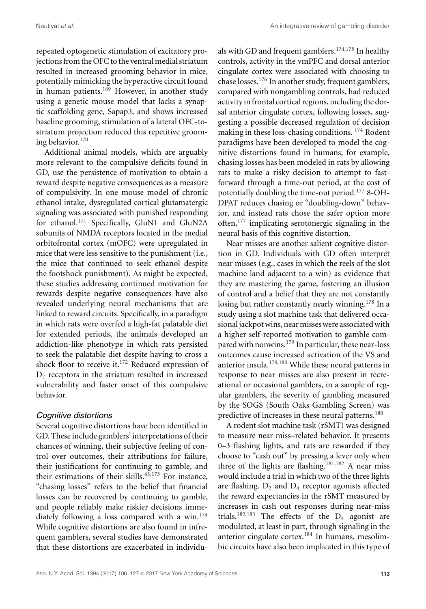repeated optogenetic stimulation of excitatory projectionsfrom the OFC to the ventral medial striatum resulted in increased grooming behavior in mice, potentially mimicking the hyperactive circuit found in human patients.<sup>169</sup> However, in another study using a genetic mouse model that lacks a synaptic scaffolding gene, Sapap3, and shows increased baseline grooming, stimulation of a lateral OFC-tostriatum projection reduced this repetitive grooming behavior.<sup>170</sup>

Additional animal models, which are arguably more relevant to the compulsive deficits found in GD, use the persistence of motivation to obtain a reward despite negative consequences as a measure of compulsivity. In one mouse model of chronic ethanol intake, dysregulated cortical glutamatergic signaling was associated with punished responding for ethanol.171 Specifically, GluN1 and GluN2A subunits of NMDA receptors located in the medial orbitofrontal cortex (mOFC) were upregulated in mice that were less sensitive to the punishment (i.e., the mice that continued to seek ethanol despite the footshock punishment). As might be expected, these studies addressing continued motivation for rewards despite negative consequences have also revealed underlying neural mechanisms that are linked to reward circuits. Specifically, in a paradigm in which rats were overfed a high-fat palatable diet for extended periods, the animals developed an addiction-like phenotype in which rats persisted to seek the palatable diet despite having to cross a shock floor to receive it.<sup>172</sup> Reduced expression of  $D_2$  receptors in the striatum resulted in increased vulnerability and faster onset of this compulsive behavior.

## *Cognitive distortions*

Several cognitive distortions have been identified in GD. These include gamblers' interpretations of their chances of winning, their subjective feeling of control over outcomes, their attributions for failure, their justifications for continuing to gamble, and their estimations of their skills. $43,173$  For instance, "chasing losses" refers to the belief that financial losses can be recovered by continuing to gamble, and people reliably make riskier decisions immediately following a loss compared with a win.<sup>174</sup> While cognitive distortions are also found in infrequent gamblers, several studies have demonstrated that these distortions are exacerbated in individuals with GD and frequent gamblers.174,175 In healthy controls, activity in the vmPFC and dorsal anterior cingulate cortex were associated with choosing to chase losses.<sup>176</sup> In another study, frequent gamblers, compared with nongambling controls, had reduced activity in frontal cortical regions, including the dorsal anterior cingulate cortex, following losses, suggesting a possible decreased regulation of decision making in these loss-chasing conditions. <sup>174</sup> Rodent paradigms have been developed to model the cognitive distortions found in humans; for example, chasing losses has been modeled in rats by allowing rats to make a risky decision to attempt to fastforward through a time-out period, at the cost of potentially doubling the time-out period.<sup>177</sup> 8-OH-DPAT reduces chasing or "doubling-down" behavior, and instead rats chose the safer option more often, $177$  implicating serotonergic signaling in the neural basis of this cognitive distortion.

Near misses are another salient cognitive distortion in GD. Individuals with GD often interpret near misses (e.g., cases in which the reels of the slot machine land adjacent to a win) as evidence that they are mastering the game, fostering an illusion of control and a belief that they are not constantly losing but rather constantly nearly winning.<sup>178</sup> In a study using a slot machine task that delivered occasional jackpot wins, near misses were associated with a higher self-reported motivation to gamble compared with nonwins.<sup>179</sup> In particular, these near-loss outcomes cause increased activation of the VS and anterior insula.179,180 While these neural patterns in response to near misses are also present in recreational or occasional gamblers, in a sample of regular gamblers, the severity of gambling measured by the SOGS (South Oaks Gambling Screen) was predictive of increases in these neural patterns.<sup>180</sup>

A rodent slot machine task (rSMT) was designed to measure near miss–related behavior. It presents 0–3 flashing lights, and rats are rewarded if they choose to "cash out" by pressing a lever only when three of the lights are flashing.<sup>181,182</sup> A near miss would include a trial in which two of the three lights are flashing.  $D_2$  and  $D_4$  receptor agonists affected the reward expectancies in the rSMT measured by increases in cash out responses during near-miss trials.<sup>182,183</sup> The effects of the  $D_4$  agonist are modulated, at least in part, through signaling in the anterior cingulate cortex.<sup>184</sup> In humans, mesolimbic circuits have also been implicated in this type of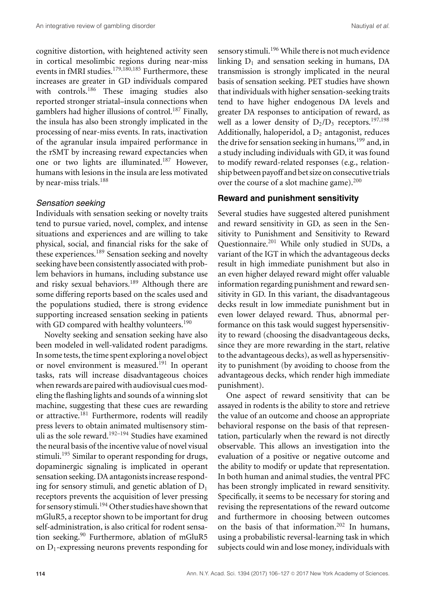cognitive distortion, with heightened activity seen in cortical mesolimbic regions during near-miss events in fMRI studies.<sup>179,180,185</sup> Furthermore, these increases are greater in GD individuals compared with controls.<sup>186</sup> These imaging studies also reported stronger striatal–insula connections when gamblers had higher illusions of control.<sup>187</sup> Finally, the insula has also been strongly implicated in the processing of near-miss events. In rats, inactivation of the agranular insula impaired performance in the rSMT by increasing reward expectancies when one or two lights are illuminated.187 However, humans with lesions in the insula are less motivated by near-miss trials.<sup>188</sup>

#### *Sensation seeking*

Individuals with sensation seeking or novelty traits tend to pursue varied, novel, complex, and intense situations and experiences and are willing to take physical, social, and financial risks for the sake of these experiences.189 Sensation seeking and novelty seeking have been consistently associated with problem behaviors in humans, including substance use and risky sexual behaviors.<sup>189</sup> Although there are some differing reports based on the scales used and the populations studied, there is strong evidence supporting increased sensation seeking in patients with GD compared with healthy volunteers.<sup>190</sup>

Novelty seeking and sensation seeking have also been modeled in well-validated rodent paradigms. In some tests, the time spent exploring a novel object or novel environment is measured.<sup>191</sup> In operant tasks, rats will increase disadvantageous choices when rewards are paired with audiovisual cues modeling the flashing lights and sounds of a winning slot machine, suggesting that these cues are rewarding or attractive.<sup>181</sup> Furthermore, rodents will readily press levers to obtain animated multisensory stimuli as the sole reward.<sup>192–194</sup> Studies have examined the neural basis of the incentive value of novel visual stimuli.<sup>195</sup> Similar to operant responding for drugs, dopaminergic signaling is implicated in operant sensation seeking. DA antagonists increase responding for sensory stimuli, and genetic ablation of  $D_1$ receptors prevents the acquisition of lever pressing for sensory stimuli.<sup>194</sup> Other studies have shown that mGluR5, a receptor shown to be important for drug self-administration, is also critical for rodent sensation seeking.<sup>90</sup> Furthermore, ablation of mGluR5 on  $D_1$ -expressing neurons prevents responding for

sensory stimuli.<sup>196</sup> While there is not much evidence linking  $D_1$  and sensation seeking in humans, DA transmission is strongly implicated in the neural basis of sensation seeking. PET studies have shown that individuals with higher sensation-seeking traits tend to have higher endogenous DA levels and greater DA responses to anticipation of reward, as well as a lower density of  $D_2/D_3$  receptors.<sup>197,198</sup> Additionally, haloperidol, a  $D_2$  antagonist, reduces the drive for sensation seeking in humans,  $199$  and, in a study including individuals with GD, it was found to modify reward-related responses (e.g., relationship between payoff and bet size on consecutive trials over the course of a slot machine game).<sup>200</sup>

## **Reward and punishment sensitivity**

Several studies have suggested altered punishment and reward sensitivity in GD, as seen in the Sensitivity to Punishment and Sensitivity to Reward Questionnaire.<sup>201</sup> While only studied in SUDs, a variant of the IGT in which the advantageous decks result in high immediate punishment but also in an even higher delayed reward might offer valuable information regarding punishment and reward sensitivity in GD. In this variant, the disadvantageous decks result in low immediate punishment but in even lower delayed reward. Thus, abnormal performance on this task would suggest hypersensitivity to reward (choosing the disadvantageous decks, since they are more rewarding in the start, relative to the advantageous decks), as well as hypersensitivity to punishment (by avoiding to choose from the advantageous decks, which render high immediate punishment).

One aspect of reward sensitivity that can be assayed in rodents is the ability to store and retrieve the value of an outcome and choose an appropriate behavioral response on the basis of that representation, particularly when the reward is not directly observable. This allows an investigation into the evaluation of a positive or negative outcome and the ability to modify or update that representation. In both human and animal studies, the ventral PFC has been strongly implicated in reward sensitivity. Specifically, it seems to be necessary for storing and revising the representations of the reward outcome and furthermore in choosing between outcomes on the basis of that information.<sup>202</sup> In humans, using a probabilistic reversal-learning task in which subjects could win and lose money, individuals with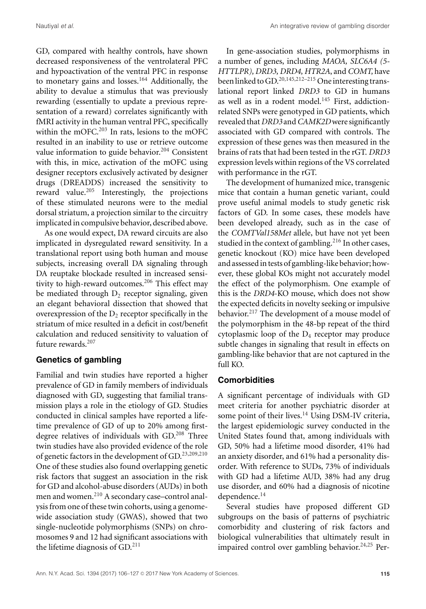GD, compared with healthy controls, have shown decreased responsiveness of the ventrolateral PFC and hypoactivation of the ventral PFC in response to monetary gains and losses.<sup>164</sup> Additionally, the ability to devalue a stimulus that was previously rewarding (essentially to update a previous representation of a reward) correlates significantly with fMRI activity in the human ventral PFC, specifically within the mOFC.<sup>203</sup> In rats, lesions to the mOFC resulted in an inability to use or retrieve outcome value information to guide behavior.<sup>204</sup> Consistent with this, in mice, activation of the mOFC using designer receptors exclusively activated by designer drugs (DREADDS) increased the sensitivity to reward value.<sup>205</sup> Interestingly, the projections of these stimulated neurons were to the medial dorsal striatum, a projection similar to the circuitry implicated in compulsive behavior, described above.

As one would expect, DA reward circuits are also implicated in dysregulated reward sensitivity. In a translational report using both human and mouse subjects, increasing overall DA signaling through DA reuptake blockade resulted in increased sensitivity to high-reward outcomes.<sup>206</sup> This effect may be mediated through  $D_2$  receptor signaling, given an elegant behavioral dissection that showed that overexpression of the  $D_2$  receptor specifically in the striatum of mice resulted in a deficit in cost/benefit calculation and reduced sensitivity to valuation of future rewards.<sup>207</sup>

# **Genetics of gambling**

Familial and twin studies have reported a higher prevalence of GD in family members of individuals diagnosed with GD, suggesting that familial transmission plays a role in the etiology of GD. Studies conducted in clinical samples have reported a lifetime prevalence of GD of up to 20% among firstdegree relatives of individuals with GD.<sup>208</sup> Three twin studies have also provided evidence of the role of genetic factors in the development of GD.23,209,210 One of these studies also found overlapping genetic risk factors that suggest an association in the risk for GD and alcohol-abuse disorders (AUDs) in both men and women.210 A secondary case–control analysis from one of these twin cohorts, using a genomewide association study (GWAS), showed that two single-nucleotide polymorphisms (SNPs) on chromosomes 9 and 12 had significant associations with the lifetime diagnosis of  $GD<sup>211</sup>$ 

In gene-association studies, polymorphisms in a number of genes, including *MAOA, SLC6A4 (5- HTTLPR), DRD3, DRD4, HTR2A*, and *COMT,* have been linked to GD.20,145,212–215 One interesting translational report linked *DRD3* to GD in humans as well as in a rodent model.<sup>145</sup> First, addictionrelated SNPs were genotyped in GD patients, which revealed that*DRD3* and*CAMK2D*were significantly associated with GD compared with controls. The expression of these genes was then measured in the brains of rats that had been tested in the rGT. *DRD3* expression levels within regions of the VS correlated with performance in the rGT.

The development of humanized mice, transgenic mice that contain a human genetic variant, could prove useful animal models to study genetic risk factors of GD. In some cases, these models have been developed already, such as in the case of the *COMTVal158Met* allele, but have not yet been studied in the context of gambling.<sup>216</sup> In other cases, genetic knockout (KO) mice have been developed and assessed in tests of gambling-like behavior; however, these global KOs might not accurately model the effect of the polymorphism. One example of this is the *DRD4*-KO mouse, which does not show the expected deficits in novelty seeking or impulsive behavior.<sup>217</sup> The development of a mouse model of the polymorphism in the 48-bp repeat of the third cytoplasmic loop of the  $D_4$  receptor may produce subtle changes in signaling that result in effects on gambling-like behavior that are not captured in the full KO.

## **Comorbidities**

A significant percentage of individuals with GD meet criteria for another psychiatric disorder at some point of their lives. $14$  Using DSM-IV criteria, the largest epidemiologic survey conducted in the United States found that, among individuals with GD, 50% had a lifetime mood disorder, 41% had an anxiety disorder, and 61% had a personality disorder. With reference to SUDs, 73% of individuals with GD had a lifetime AUD, 38% had any drug use disorder, and 60% had a diagnosis of nicotine dependence.<sup>14</sup>

Several studies have proposed different GD subgroups on the basis of patterns of psychiatric comorbidity and clustering of risk factors and biological vulnerabilities that ultimately result in impaired control over gambling behavior.<sup>24,25</sup> Per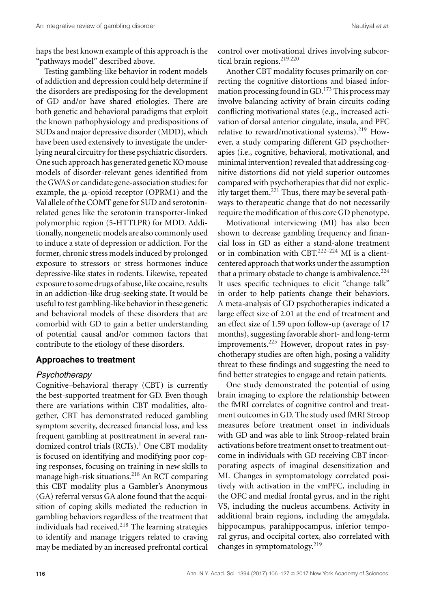haps the best known example of this approach is the "pathways model" described above.

Testing gambling-like behavior in rodent models of addiction and depression could help determine if the disorders are predisposing for the development of GD and/or have shared etiologies. There are both genetic and behavioral paradigms that exploit the known pathophysiology and predispositions of SUDs and major depressive disorder (MDD), which have been used extensively to investigate the underlying neural circuitry for these psychiatric disorders. One such approach has generated genetic KO mouse models of disorder-relevant genes identified from the GWAS or candidate gene-association studies: for example, the  $\mu$ -opioid receptor (OPRM1) and the Val allele of the COMT gene for SUD and serotoninrelated genes like the serotonin transporter-linked polymorphic region (5-HTTLPR) for MDD. Additionally, nongenetic models are also commonly used to induce a state of depression or addiction. For the former, chronic stress models induced by prolonged exposure to stressors or stress hormones induce depressive-like states in rodents. Likewise, repeated exposure to some drugs of abuse, like cocaine, results in an addiction-like drug-seeking state. It would be useful to test gambling-like behavior in these genetic and behavioral models of these disorders that are comorbid with GD to gain a better understanding of potential causal and/or common factors that contribute to the etiology of these disorders.

## **Approaches to treatment**

## *Psychotherapy*

Cognitive–behavioral therapy (CBT) is currently the best-supported treatment for GD. Even though there are variations within CBT modalities, altogether, CBT has demonstrated reduced gambling symptom severity, decreased financial loss, and less frequent gambling at posttreatment in several randomized control trials (RCTs).<sup>1</sup> One CBT modality is focused on identifying and modifying poor coping responses, focusing on training in new skills to manage high-risk situations.<sup>218</sup> An RCT comparing this CBT modality plus a Gambler's Anonymous (GA) referral versus GA alone found that the acquisition of coping skills mediated the reduction in gambling behaviors regardless of the treatment that individuals had received. $218$  The learning strategies to identify and manage triggers related to craving may be mediated by an increased prefrontal cortical control over motivational drives involving subcortical brain regions.<sup>219,220</sup>

Another CBT modality focuses primarily on correcting the cognitive distortions and biased information processing found in GD.<sup>173</sup> This process may involve balancing activity of brain circuits coding conflicting motivational states (e.g., increased activation of dorsal anterior cingulate, insula, and PFC relative to reward/motivational systems).<sup>219</sup> However, a study comparing different GD psychotherapies (i.e., cognitive, behavioral, motivational, and minimal intervention) revealed that addressing cognitive distortions did not yield superior outcomes compared with psychotherapies that did not explicitly target them.<sup>221</sup> Thus, there may be several pathways to therapeutic change that do not necessarily require the modification of this core GD phenotype.

Motivational interviewing (MI) has also been shown to decrease gambling frequency and financial loss in GD as either a stand-alone treatment or in combination with CBT.<sup>222–224</sup> MI is a clientcentered approach that works under the assumption that a primary obstacle to change is ambivalence.<sup>224</sup> It uses specific techniques to elicit "change talk" in order to help patients change their behaviors. A meta-analysis of GD psychotherapies indicated a large effect size of 2.01 at the end of treatment and an effect size of 1.59 upon follow-up (average of 17 months), suggesting favorable short- and long-term improvements.<sup>225</sup> However, dropout rates in psychotherapy studies are often high, posing a validity threat to these findings and suggesting the need to find better strategies to engage and retain patients.

One study demonstrated the potential of using brain imaging to explore the relationship between the fMRI correlates of cognitive control and treatment outcomes in GD. The study used fMRI Stroop measures before treatment onset in individuals with GD and was able to link Stroop-related brain activations before treatment onset to treatment outcome in individuals with GD receiving CBT incorporating aspects of imaginal desensitization and MI. Changes in symptomatology correlated positively with activation in the vmPFC, including in the OFC and medial frontal gyrus, and in the right VS, including the nucleus accumbens. Activity in additional brain regions, including the amygdala, hippocampus, parahippocampus, inferior temporal gyrus, and occipital cortex, also correlated with changes in symptomatology.<sup>219</sup>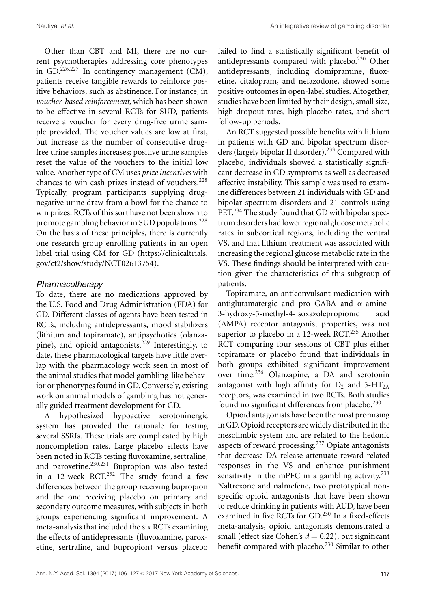Other than CBT and MI, there are no current psychotherapies addressing core phenotypes in GD.<sup>226,227</sup> In contingency management (CM), patients receive tangible rewards to reinforce positive behaviors, such as abstinence. For instance, in *voucher-based reinforcement,* which has been shown to be effective in several RCTs for SUD, patients receive a voucher for every drug-free urine sample provided. The voucher values are low at first, but increase as the number of consecutive drugfree urine samples increases; positive urine samples reset the value of the vouchers to the initial low value. Another type of CM uses *prize incentives* with chances to win cash prizes instead of vouchers.<sup>228</sup> Typically, program participants supplying drugnegative urine draw from a bowl for the chance to win prizes. RCTs of this sort have not been shown to promote gambling behavior in SUD populations.<sup>228</sup> On the basis of these principles, there is currently one research group enrolling patients in an open label trial using CM for GD [\(https://clinicaltrials.](https://clinicaltrials.gov/ct2/show/study/NCT02613754) [gov/ct2/show/study/NCT02613754\)](https://clinicaltrials.gov/ct2/show/study/NCT02613754).

## *Pharmacotherapy*

To date, there are no medications approved by the U.S. Food and Drug Administration (FDA) for GD. Different classes of agents have been tested in RCTs, including antidepressants, mood stabilizers (lithium and topiramate), antipsychotics (olanzapine), and opioid antagonists.<sup>229</sup> Interestingly, to date, these pharmacological targets have little overlap with the pharmacology work seen in most of the animal studies that model gambling-like behavior or phenotypes found in GD. Conversely, existing work on animal models of gambling has not generally guided treatment development for GD.

A hypothesized hypoactive serotoninergic system has provided the rationale for testing several SSRIs. These trials are complicated by high noncompletion rates. Large placebo effects have been noted in RCTs testing fluvoxamine, sertraline, and paroxetine.<sup>230,231</sup> Bupropion was also tested in a 12-week RCT.<sup>232</sup> The study found a few differences between the group receiving bupropion and the one receiving placebo on primary and secondary outcome measures, with subjects in both groups experiencing significant improvement. A meta-analysis that included the six RCTs examining the effects of antidepressants (fluvoxamine, paroxetine, sertraline, and bupropion) versus placebo

failed to find a statistically significant benefit of antidepressants compared with placebo.<sup>230</sup> Other antidepressants, including clomipramine, fluoxetine, citalopram, and nefazodone, showed some positive outcomes in open-label studies. Altogether, studies have been limited by their design, small size, high dropout rates, high placebo rates, and short follow-up periods.

An RCT suggested possible benefits with lithium in patients with GD and bipolar spectrum disorders (largely bipolar II disorder).<sup>233</sup> Compared with placebo, individuals showed a statistically significant decrease in GD symptoms as well as decreased affective instability. This sample was used to examine differences between 21 individuals with GD and bipolar spectrum disorders and 21 controls using PET.<sup>234</sup> The study found that GD with bipolar spectrum disorders had lower regional glucosemetabolic rates in subcortical regions, including the ventral VS, and that lithium treatment was associated with increasing the regional glucose metabolic rate in the VS. These findings should be interpreted with caution given the characteristics of this subgroup of patients.

Topiramate, an anticonvulsant medication with antiglutamatergic and pro–GABA and  $\alpha$ -amine-3-hydroxy-5-methyl-4-isoxazolepropionic acid (AMPA) receptor antagonist properties, was not superior to placebo in a 12-week  $RCT<sub>1</sub><sup>235</sup>$  Another RCT comparing four sessions of CBT plus either topiramate or placebo found that individuals in both groups exhibited significant improvement over time.<sup>236</sup> Olanzapine, a DA and serotonin antagonist with high affinity for  $D_2$  and 5-HT<sub>2A</sub> receptors, was examined in two RCTs. Both studies found no significant differences from placebo.<sup>230</sup>

Opioid antagonists have been the most promising in GD. Opioid receptors are widely distributed in the mesolimbic system and are related to the hedonic aspects of reward processing.<sup>237</sup> Opiate antagonists that decrease DA release attenuate reward-related responses in the VS and enhance punishment sensitivity in the mPFC in a gambling activity. $238$ Naltrexone and nalmefene, two prototypical nonspecific opioid antagonists that have been shown to reduce drinking in patients with AUD, have been examined in five RCTs for GD.<sup>230</sup> In a fixed-effects meta-analysis, opioid antagonists demonstrated a small (effect size Cohen's  $d = 0.22$ ), but significant benefit compared with placebo.<sup>230</sup> Similar to other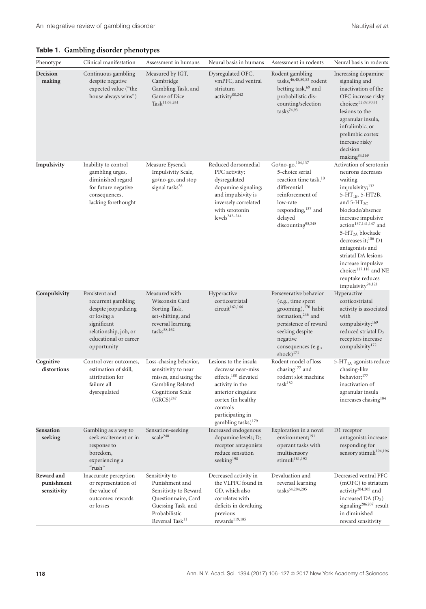|  | Table 1. Gambling disorder phenotypes |  |  |  |
|--|---------------------------------------|--|--|--|
|--|---------------------------------------|--|--|--|

| Phenotype                               | Clinical manifestation                                                                                                                                      | Assessment in humans                                                                                                                                   | Neural basis in humans                                                                                                                                                                                | Assessment in rodents                                                                                                                                                                                             | Neural basis in rodents                                                                                                                                                                                                                                                                                                                                                                                                                   |
|-----------------------------------------|-------------------------------------------------------------------------------------------------------------------------------------------------------------|--------------------------------------------------------------------------------------------------------------------------------------------------------|-------------------------------------------------------------------------------------------------------------------------------------------------------------------------------------------------------|-------------------------------------------------------------------------------------------------------------------------------------------------------------------------------------------------------------------|-------------------------------------------------------------------------------------------------------------------------------------------------------------------------------------------------------------------------------------------------------------------------------------------------------------------------------------------------------------------------------------------------------------------------------------------|
| Decision<br>making                      | Continuous gambling<br>despite negative<br>expected value ("the<br>house always wins")                                                                      | Measured by IGT,<br>Cambridge<br>Gambling Task, and<br>Game of Dice<br>$Task^{11,68,241}$                                                              | Dysregulated OFC,<br>vmPFC, and ventral<br>striatum<br>activity <sup>88,242</sup>                                                                                                                     | Rodent gambling<br>tasks, $46,48,50,53$ rodent<br>betting task, <sup>69</sup> and<br>probabilistic dis-<br>counting/selection<br>$tasks^{74,93}$                                                                  | Increasing dopamine<br>signaling and<br>inactivation of the<br>OFC increase risky<br>choices; <sup>52,69,70,81</sup><br>lesions to the<br>agranular insula,<br>infralimbic, or<br>prelimbic cortex<br>increase risky<br>decision<br>making84,169                                                                                                                                                                                          |
| Impulsivity                             | Inability to control<br>gambling urges,<br>diminished regard<br>for future negative<br>consequences,<br>lacking forethought                                 | Measure Eysenck<br>Impulsivity Scale,<br>go/no-go, and stop<br>signal tasks <sup>58</sup>                                                              | Reduced dorsomedial<br>PFC activity;<br>dysregulated<br>dopamine signaling;<br>and impulsivity is<br>inversely correlated<br>with serotonin<br>levels <sup>242-244</sup>                              | Go/no-go, $104,137$<br>5-choice serial<br>reaction time task, <sup>10</sup><br>differential<br>reinforcement of<br>low-rate<br>responding, <sup>137</sup> and<br>delayed<br>discounting93,245                     | Activation of serotonin<br>neurons decreases<br>waiting<br>impulsivity; <sup>132</sup><br>5-HT <sub>1B</sub> , 5-HT2B,<br>and $5-HT_{2C}$<br>blockade/absence<br>increase impulsive<br>action <sup>137,141,147</sup> and<br>5-HT <sub>2A</sub> blockade<br>decreases it;<br>$\rm ^{106}$ D1<br>antagonists and<br>striatal DA lesions<br>increase impulsive<br>choice; <sup>117,118</sup> and NE<br>reuptake reduces<br>impulsivity94,121 |
| Compulsivity                            | Persistent and<br>recurrent gambling<br>despite jeopardizing<br>or losing a<br>significant<br>relationship, job, or<br>educational or career<br>opportunity | Measured with<br>Wisconsin Card<br>Sorting Task,<br>set-shifting, and<br>reversal learning<br>tasks $58,162$                                           | Hyperactive<br>corticostriatal<br>circuit <sup>162,166</sup>                                                                                                                                          | Perseverative behavior<br>(e.g., time spent<br>grooming), <sup>170</sup> habit<br>formation, <sup>246</sup> and<br>persistence of reward<br>seeking despite<br>negative<br>consequences (e.g.,<br>shock $)^{171}$ | Hyperactive<br>corticostriatal<br>activity is associated<br>with<br>compulsivity; <sup>169</sup><br>reduced striatal $D_2$<br>receptors increase<br>compulsivity <sup>172</sup>                                                                                                                                                                                                                                                           |
| Cognitive<br>distortions                | Control over outcomes,<br>estimation of skill,<br>attribution for<br>failure all<br>dysregulated                                                            | Loss-chasing behavior,<br>sensitivity to near<br>misses, and using the<br>Gambling Related<br><b>Cognitions Scale</b><br>(GRCS) <sup>247</sup>         | Lesions to the insula<br>decrease near-miss<br>effects, 188 elevated<br>activity in the<br>anterior cingulate<br>cortex (in healthy<br>controls<br>participating in<br>gambling tasks) <sup>179</sup> | Rodent model of loss<br>chasing <sup>177</sup> and<br>rodent slot machine<br>$task^{182}$                                                                                                                         | 5- $HT_{1A}$ agonists reduce<br>chasing-like<br>behavior; <sup>177</sup><br>inactivation of<br>agranular insula<br>increases chasing <sup>184</sup>                                                                                                                                                                                                                                                                                       |
| <b>Sensation</b><br>seeking             | Gambling as a way to<br>seek excitement or in<br>response to<br>boredom,<br>experiencing a<br>"rush"                                                        | Sensation-seeking<br>$\rm scale^{248}$                                                                                                                 | Increased endogenous<br>dopamine levels; $D_2$<br>receptor antagonists<br>reduce sensation<br>seeking <sup>198</sup>                                                                                  | Exploration in a novel<br>environment; <sup>191</sup><br>operant tasks with<br>multisensory<br>stimuli <sup>181,192</sup>                                                                                         | D1 receptor<br>antagonists increase<br>responding for<br>sensory stimuli <sup>194,196</sup>                                                                                                                                                                                                                                                                                                                                               |
| Reward and<br>punishment<br>sensitivity | Inaccurate perception<br>or representation of<br>the value of<br>outcomes: rewards<br>or losses                                                             | Sensitivity to<br>Punishment and<br>Sensitivity to Reward<br>Questionnaire, Card<br>Guessing Task, and<br>Probabilistic<br>Reversal Task <sup>11</sup> | Decreased activity in<br>the VLPFC found in<br>GD, which also<br>correlates with<br>deficits in devaluing<br>previous<br>rewards <sup>119,185</sup>                                                   | Devaluation and<br>reversal learning<br>tasks <sup>64,204,205</sup>                                                                                                                                               | Decreased ventral PFC<br>(mOFC) to striatum<br>activity <sup>204,205</sup> and<br>increased DA $(D2)$<br>signaling <sup>206207</sup> result<br>in diminished<br>reward sensitivity                                                                                                                                                                                                                                                        |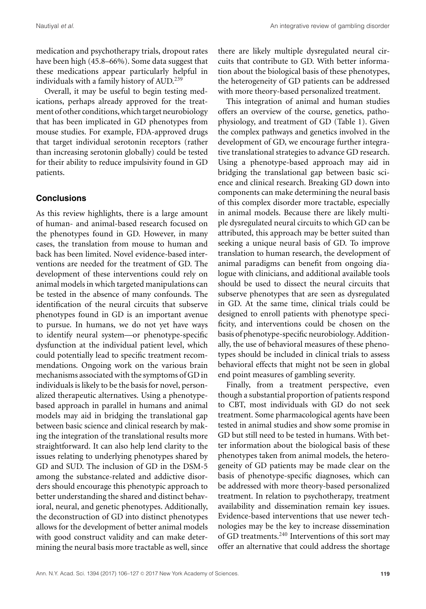medication and psychotherapy trials, dropout rates have been high (45.8–66%). Some data suggest that these medications appear particularly helpful in individuals with a family history of AUD.<sup>239</sup>

Overall, it may be useful to begin testing medications, perhaps already approved for the treatment of other conditions,which target neurobiology that has been implicated in GD phenotypes from mouse studies. For example, FDA-approved drugs that target individual serotonin receptors (rather than increasing serotonin globally) could be tested for their ability to reduce impulsivity found in GD patients.

# **Conclusions**

As this review highlights, there is a large amount of human- and animal-based research focused on the phenotypes found in GD. However, in many cases, the translation from mouse to human and back has been limited. Novel evidence-based interventions are needed for the treatment of GD. The development of these interventions could rely on animal models in which targeted manipulations can be tested in the absence of many confounds. The identification of the neural circuits that subserve phenotypes found in GD is an important avenue to pursue. In humans, we do not yet have ways to identify neural system—or phenotype-specific dysfunction at the individual patient level, which could potentially lead to specific treatment recommendations. Ongoing work on the various brain mechanisms associated with the symptoms of GD in individuals is likely to be the basis for novel, personalized therapeutic alternatives. Using a phenotypebased approach in parallel in humans and animal models may aid in bridging the translational gap between basic science and clinical research by making the integration of the translational results more straightforward. It can also help lend clarity to the issues relating to underlying phenotypes shared by GD and SUD. The inclusion of GD in the DSM-5 among the substance-related and addictive disorders should encourage this phenotypic approach to better understanding the shared and distinct behavioral, neural, and genetic phenotypes. Additionally, the deconstruction of GD into distinct phenotypes allows for the development of better animal models with good construct validity and can make determining the neural basis more tractable as well, since

there are likely multiple dysregulated neural circuits that contribute to GD. With better information about the biological basis of these phenotypes, the heterogeneity of GD patients can be addressed with more theory-based personalized treatment.

This integration of animal and human studies offers an overview of the course, genetics, pathophysiology, and treatment of GD (Table 1). Given the complex pathways and genetics involved in the development of GD, we encourage further integrative translational strategies to advance GD research. Using a phenotype-based approach may aid in bridging the translational gap between basic science and clinical research. Breaking GD down into components can make determining the neural basis of this complex disorder more tractable, especially in animal models. Because there are likely multiple dysregulated neural circuits to which GD can be attributed, this approach may be better suited than seeking a unique neural basis of GD. To improve translation to human research, the development of animal paradigms can benefit from ongoing dialogue with clinicians, and additional available tools should be used to dissect the neural circuits that subserve phenotypes that are seen as dysregulated in GD. At the same time, clinical trials could be designed to enroll patients with phenotype specificity, and interventions could be chosen on the basis of phenotype-specific neurobiology. Additionally, the use of behavioral measures of these phenotypes should be included in clinical trials to assess behavioral effects that might not be seen in global end point measures of gambling severity.

Finally, from a treatment perspective, even though a substantial proportion of patients respond to CBT, most individuals with GD do not seek treatment. Some pharmacological agents have been tested in animal studies and show some promise in GD but still need to be tested in humans. With better information about the biological basis of these phenotypes taken from animal models, the heterogeneity of GD patients may be made clear on the basis of phenotype-specific diagnoses, which can be addressed with more theory-based personalized treatment. In relation to psychotherapy, treatment availability and dissemination remain key issues. Evidence-based interventions that use newer technologies may be the key to increase dissemination of GD treatments.<sup>240</sup> Interventions of this sort may offer an alternative that could address the shortage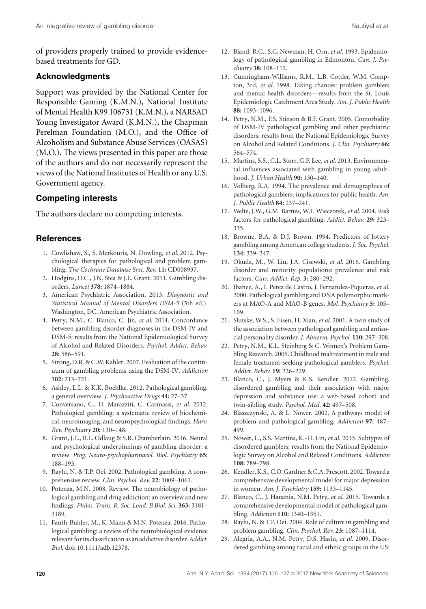of providers properly trained to provide evidencebased treatments for GD.

## **Acknowledgments**

Support was provided by the National Center for Responsible Gaming (K.M.N.), National Institute of Mental Health K99 106731 (K.M.N.), a NARSAD Young Investigator Award (K.M.N.), the Chapman Perelman Foundation (M.O.), and the Office of Alcoholism and Substance Abuse Services (OASAS) (M.O.). The views presented in this paper are those of the authors and do not necessarily represent the views of the National Institutes of Health or any U.S. Government agency.

# **Competing interests**

The authors declare no competing interests.

## **References**

- 1. Cowlishaw, S., S. Merkouris, N. Dowling, *et al*. 2012. Psychological therapies for pathological and problem gambling. *The Cochrane Database Syst. Rev.* **11:** CD008937.
- 2. Hodgins, D.C., J.N. Stea & J.E. Grant. 2011. Gambling disorders. *Lancet* **378:** 1874–1884.
- 3. American Psychiatric Association. 2013. *Diagnostic and Statistical Manual of Mental Disorders DSM-5* (5th ed.). Washington, DC. American Psychiatric Association.
- 4. Petry, N.M., C. Blanco, C. Jin, *et al*. 2014. Concordance between gambling disorder diagnoses in the DSM-IV and DSM-5: results from the National Epidemiological Survey of Alcohol and Related Disorders. *Psychol. Addict. Behav.* **28:** 586–591.
- 5. Strong, D.R. & C.W. Kahler. 2007. Evaluation of the continuum of gambling problems using the DSM-IV. *Addiction* **102:** 713–721.
- 6. Ashley, L.L. & K.K. Boehlke. 2012. Pathological gambling: a general overview. *J. Psychoactive Drugs* **44:** 27–37.
- 7. Conversano, C., D. Marazziti, C. Carmassi, *et al*. 2012. Pathological gambling: a systematic review of biochemical, neuroimaging, and neuropsychological findings. *Harv. Rev. Psychiatry* **20:** 130–148.
- 8. Grant, J.E., B.L. Odlaug & S.R. Chamberlain. 2016. Neural and psychological underpinnings of gambling disorder: a review. *Prog. Neuro-psychopharmacol. Biol. Psychiatry* **65:** 188–193.
- 9. Raylu, N. & T.P. Oei. 2002. Pathological gambling. A comprehensive review. *Clin. Psychol. Rev.* **22:** 1009–1061.
- 10. Potenza, M.N. 2008. Review. The neurobiology of pathological gambling and drug addiction: an overview and new findings. *Philos. Trans. R. Soc. Lond. B Biol. Sci.* **363:** 3181– 3189.
- 11. Fauth-Buhler, M., K. Mann & M.N. Potenza. 2016. Pathological gambling: a review of the neurobiological evidence relevant for its classification as an addictive disorder. Addict. *Biol.* doi: [10.1111/adb.12378.](https://doi.org/10.1111/adb.12378)
- 12. Bland, R.C., S.C. Newman, H. Orn, *et al*. 1993. Epidemiology of pathological gambling in Edmonton. *Can. J. Psychiatry* **38:** 108–112.
- 13. Cunningham-Williams, R.M., L.B. Cottler, W.M. Compton, 3rd, *et al*. 1998. Taking chances: problem gamblers and mental health disorders—results from the St. Louis Epidemiologic Catchment Area Study. *Am. J. Public Health* **88:** 1093–1096.
- 14. Petry, N.M., F.S. Stinson & B.F. Grant. 2005. Comorbidity of DSM-IV pathological gambling and other psychiatric disorders: results from the National Epidemiologic Survey on Alcohol and Related Conditions. *J. Clin. Psychiatry* **66:** 564–574.
- 15. Martins, S.S., C.L. Storr, G.P. Lee, *et al*. 2013. Environmental influences associated with gambling in young adulthood. *J. Urban Health* **90:** 130–140.
- 16. Volberg, R.A. 1994. The prevalence and demographics of pathological gamblers: implications for public health. *Am. J. Public Health* **84:** 237–241.
- 17. Welte, J.W., G.M. Barnes, W.F. Wieczorek, *et al*. 2004. Risk factors for pathological gambling. *Addict. Behav.* **29:** 323– 335.
- 18. Browne, B.A. & D.J. Brown. 1994. Predictors of lottery gambling among American college students. *J. Soc. Psychol.* **134:** 339–347.
- 19. Okuda, M., W. Liu, J.A. Cisewski, *et al*. 2016. Gambling disorder and minority populations: prevalence and risk factors. *Curr. Addict. Rep.* **3:** 280–292.
- 20. Ibanez, A., I. Perez de Castro, J. Fernandez-Piqueras, *et al*. 2000. Pathological gambling and DNA polymorphic markers at MAO-A and MAO-B genes. *Mol. Psychiatry* **5:** 105– 109.
- 21. Slutske, W.S., S. Eisen, H. Xian, *et al*. 2001. A twin study of the association between pathological gambling and antisocial personality disorder. *J. Abnorm. Psychol.* **110:** 297–308.
- 22. Petry, N.M., K.L. Steinberg & C. Women's Problem Gambling Research. 2005. Childhood maltreatment in male and female treatment-seeking pathological gamblers. *Psychol. Addict. Behav.* **19:** 226–229.
- 23. Blanco, C., J. Myers & K.S. Kendler. 2012. Gambling, disordered gambling and their association with major depression and substance use: a web-based cohort and twin-sibling study. *Psychol. Med.* **42:** 497–508.
- 24. Blaszczynski, A. & L. Nower. 2002. A pathways model of problem and pathological gambling. *Addiction* **97:** 487– 499.
- 25. Nower, L., S.S. Martins, K.-H. Lin, *et al*. 2013. Subtypes of disordered gamblers: results from the National Epidemiologic Survey on Alcohol and Related Conditions. *Addiction* **108:** 789–798.
- 26. Kendler, K.S., C.O. Gardner & C.A. Prescott. 2002. Toward a comprehensive developmental model for major depression in women. *Am. J. Psychiatry* **159:** 1133–1145.
- 27. Blanco, C., J. Hanania, N.M. Petry, *et al*. 2015. Towards a comprehensive developmental model of pathological gambling. *Addiction* **110:** 1340–1351.
- 28. Raylu, N. & T.P. Oei. 2004. Role of culture in gambling and problem gambling. *Clin. Psychol. Rev.* **23:** 1087–1114.
- 29. Alegria, A.A., N.M. Petry, D.S. Hasin, *et al*. 2009. Disordered gambling among racial and ethnic groups in the US: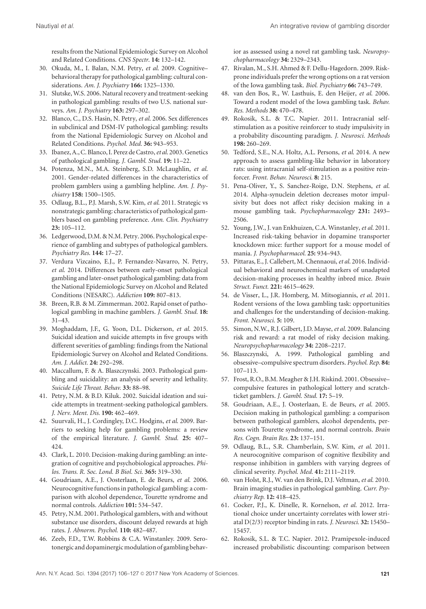results from the National Epidemiologic Survey on Alcohol and Related Conditions. *CNS Spectr*. **14:** 132–142.

- 30. Okuda, M., I. Balan, N.M. Petry, *et al*. 2009. Cognitive– behavioral therapy for pathological gambling: cultural considerations. *Am. J. Psychiatry* **166:** 1325–1330.
- 31. Slutske, W.S. 2006. Natural recovery and treatment-seeking in pathological gambling: results of two U.S. national surveys. *Am. J. Psychiatry* **163:** 297–302.
- 32. Blanco, C., D.S. Hasin, N. Petry, *et al*. 2006. Sex differences in subclinical and DSM-IV pathological gambling: results from the National Epidemiologic Survey on Alcohol and Related Conditions. *Psychol. Med.* **36:** 943–953.
- 33. Ibanez, A., C. Blanco, I. Perez de Castro,*et al*. 2003. Genetics of pathological gambling. *J. Gambl. Stud.* **19:** 11–22.
- 34. Potenza, M.N., M.A. Steinberg, S.D. McLaughlin, *et al*. 2001. Gender-related differences in the characteristics of problem gamblers using a gambling helpline. *Am. J. Psychiatry* **158:** 1500–1505.
- 35. Odlaug, B.L., P.J. Marsh, S.W. Kim, *et al*. 2011. Strategic vs nonstrategic gambling: characteristics of pathological gamblers based on gambling preference. *Ann. Clin. Psychiatry* **23:** 105–112.
- 36. Ledgerwood, D.M. & N.M. Petry. 2006. Psychological experience of gambling and subtypes of pathological gamblers. *Psychiatry Res*. **144:** 17–27.
- 37. Verdura Vizcaino, E.J., P. Fernandez-Navarro, N. Petry, *et al*. 2014. Differences between early-onset pathological gambling and later-onset pathological gambling: data from the National Epidemiologic Survey on Alcohol and Related Conditions (NESARC). *Addiction* **109:** 807–813.
- 38. Breen, R.B. & M. Zimmerman. 2002. Rapid onset of pathological gambling in machine gamblers. *J. Gambl. Stud.* **18:** 31–43.
- 39. Moghaddam, J.F., G. Yoon, D.L. Dickerson, *et al*. 2015. Suicidal ideation and suicide attempts in five groups with different severities of gambling: findings from the National Epidemiologic Survey on Alcohol and Related Conditions. *Am. J. Addict.* **24:** 292–298.
- 40. Maccallum, F. & A. Blaszczynski. 2003. Pathological gambling and suicidality: an analysis of severity and lethality. *Suicide Life Threat. Behav.* **33:** 88–98.
- 41. Petry, N.M. & B.D. Kiluk. 2002. Suicidal ideation and suicide attempts in treatment-seeking pathological gamblers. *J. Nerv. Ment. Dis.* **190:** 462–469.
- 42. Suurvali, H., J. Cordingley, D.C. Hodgins, *et al*. 2009. Barriers to seeking help for gambling problems: a review of the empirical literature. *J. Gambl. Stud.* **25:** 407– 424.
- 43. Clark, L. 2010. Decision-making during gambling: an integration of cognitive and psychobiological approaches. *Philos. Trans. R. Soc. Lond. B Biol. Sci.* **365:** 319–330.
- 44. Goudriaan, A.E., J. Oosterlaan, E. de Beurs, *et al*. 2006. Neurocognitive functions in pathological gambling: a comparison with alcohol dependence, Tourette syndrome and normal controls. *Addiction* **101:** 534–547.
- 45. Petry, N.M. 2001. Pathological gamblers, with and without substance use disorders, discount delayed rewards at high rates. *J. Abnorm. Psychol.* **110:** 482–487.
- 46. Zeeb, F.D., T.W. Robbins & C.A. Winstanley. 2009. Serotonergic and dopaminergic modulation of gambling behav-

ior as assessed using a novel rat gambling task. *Neuropsychopharmacology* **34:** 2329–2343.

- 47. Rivalan, M., S.H. Ahmed & F. Dellu-Hagedorn. 2009. Riskprone individuals prefer the wrong options on a rat version of the Iowa gambling task. *Biol. Psychiatry* **66:** 743–749.
- 48. van den Bos, R., W. Lasthuis, E. den Heijer, *et al*. 2006. Toward a rodent model of the Iowa gambling task. *Behav. Res. Methods* **38:** 470–478.
- 49. Rokosik, S.L. & T.C. Napier. 2011. Intracranial selfstimulation as a positive reinforcer to study impulsivity in a probability discounting paradigm. *J. Neurosci. Methods* **198:** 260–269.
- 50. Tedford, S.E., N.A. Holtz, A.L. Persons, *et al*. 2014. A new approach to assess gambling-like behavior in laboratory rats: using intracranial self-stimulation as a positive reinforcer. *Front. Behav. Neurosci.* **8:** 215.
- 51. Pena-Oliver, Y., S. Sanchez-Roige, D.N. Stephens, *et al*. 2014. Alpha-synuclein deletion decreases motor impulsivity but does not affect risky decision making in a mouse gambling task. *Psychopharmacology* **231:** 2493– 2506.
- 52. Young, J.W., J. van Enkhuizen, C.A. Winstanley,*et al*. 2011. Increased risk-taking behavior in dopamine transporter knockdown mice: further support for a mouse model of mania. *J. Psychopharmacol.* **25:** 934–943.
- 53. Pittaras, E., J. Callebert, M. Chennaoui,*et al*. 2016. Individual behavioral and neurochemical markers of unadapted decision-making processes in healthy inbred mice. *Brain Struct. Funct.* **221:** 4615–4629.
- 54. de Visser, L., J.R. Homberg, M. Mitsogiannis, *et al*. 2011. Rodent versions of the Iowa gambling task: opportunities and challenges for the understanding of decision-making. *Front. Neurosci.* **5:** 109.
- 55. Simon, N.W., R.J. Gilbert, J.D. Mayse,*et al*. 2009. Balancing risk and reward: a rat model of risky decision making. *Neuropsychopharmacology* **34:** 2208–2217.
- 56. Blaszczynski, A. 1999. Pathological gambling and obsessive–compulsive spectrum disorders. *Psychol. Rep.* **84:** 107–113.
- 57. Frost, R.O., B.M. Meagher & J.H. Riskind. 2001. Obsessive– compulsive features in pathological lottery and scratchticket gamblers. *J. Gambl. Stud.* **17:** 5–19.
- 58. Goudriaan, A.E., J. Oosterlaan, E. de Beurs, *et al*. 2005. Decision making in pathological gambling: a comparison between pathological gamblers, alcohol dependents, persons with Tourette syndrome, and normal controls. *Brain Res. Cogn. Brain Res.* **23:** 137–151.
- 59. Odlaug, B.L., S.R. Chamberlain, S.W. Kim, *et al*. 2011. A neurocognitive comparison of cognitive flexibility and response inhibition in gamblers with varying degrees of clinical severity. *Psychol. Med.* **41:** 2111–2119.
- 60. van Holst, R.J., W. van den Brink, D.J. Veltman, *et al*. 2010. Brain imaging studies in pathological gambling. *Curr. Psychiatry Rep.* **12:** 418–425.
- 61. Cocker, P.J., K. Dinelle, R. Kornelson, *et al*. 2012. Irrational choice under uncertainty correlates with lower striatal D(2/3) receptor binding in rats. *J. Neurosci.* **32:** 15450– 15457.
- 62. Rokosik, S.L. & T.C. Napier. 2012. Pramipexole-induced increased probabilistic discounting: comparison between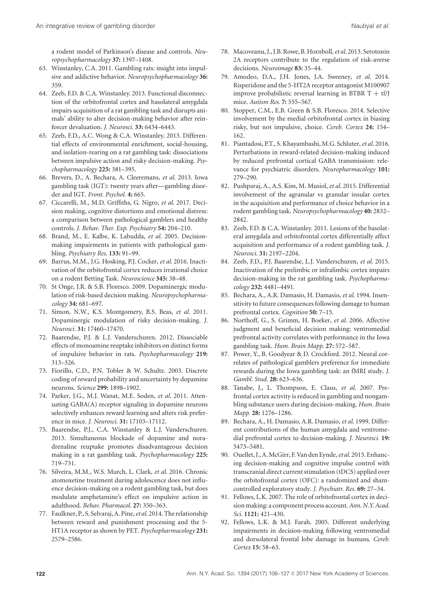a rodent model of Parkinson's disease and controls. *Neuropsychopharmacology* **37:** 1397–1408.

- 63. Winstanley, C.A. 2011. Gambling rats: insight into impulsive and addictive behavior. *Neuropsychopharmacology* **36:** 359.
- 64. Zeeb, F.D. & C.A. Winstanley. 2013. Functional disconnection of the orbitofrontal cortex and basolateral amygdala impairs acquisition of a rat gambling task and disrupts animals' ability to alter decision-making behavior after reinforcer devaluation. *J. Neurosci.* **33:** 6434–6443.
- 65. Zeeb, F.D., A.C. Wong & C.A. Winstanley. 2013. Differential effects of environmental enrichment, social-housing, and isolation-rearing on a rat gambling task: dissociations between impulsive action and risky decision-making. *Psychopharmacology* **225:** 381–395.
- 66. Brevers, D., A. Bechara, A. Cleeremans, *et al*. 2013. Iowa gambling task (IGT): twenty years after—gambling disorder and IGT. *Front. Psychol.* **4:** 665.
- 67. Ciccarelli, M., M.D. Griffiths, G. Nigro, *et al*. 2017. Decision making, cognitive distortions and emotional distress: a comparison between pathological gamblers and healthy controls. *J. Behav. Ther. Exp. Psychiatry* **54:** 204–210.
- 68. Brand, M., E. Kalbe, K. Labudda, *et al*. 2005. Decisionmaking impairments in patients with pathological gambling. *Psychiatry Res*. **133:** 91–99.
- 69. Barrus, M.M., J.G. Hosking, P.J. Cocker, *et al*. 2016. Inactivation of the orbitofrontal cortex reduces irrational choice on a rodent Betting Task. *Neuroscience* **345:** 38–48.
- 70. St Onge, J.R. & S.B. Floresco. 2009. Dopaminergic modulation of risk-based decision making. *Neuropsychopharmacology* **34:** 681–697.
- 71. Simon, N.W., K.S. Montgomery, B.S. Beas, *et al*. 2011. Dopaminergic modulation of risky decision-making. *J. Neurosci.* **31:** 17460–17470.
- 72. Baarendse, P.J. & L.J. Vanderschuren. 2012. Dissociable effects of monoamine reuptake inhibitors on distinct forms of impulsive behavior in rats. *Psychopharmacology* **219:** 313–326.
- 73. Fiorillo, C.D., P.N. Tobler & W. Schultz. 2003. Discrete coding of reward probability and uncertainty by dopamine neurons. *Science* **299:** 1898–1902.
- 74. Parker, J.G., M.J. Wanat, M.E. Soden, *et al*. 2011. Attenuating GABA(A) receptor signaling in dopamine neurons selectively enhances reward learning and alters risk preference in mice. *J. Neurosci.* **31:** 17103–17112.
- 75. Baarendse, P.J., C.A. Winstanley & L.J. Vanderschuren. 2013. Simultaneous blockade of dopamine and noradrenaline reuptake promotes disadvantageous decision making in a rat gambling task. *Psychopharmacology* **225:** 719–731.
- 76. Silveira, M.M., W.S. Murch, L. Clark, *et al*. 2016. Chronic atomoxetine treatment during adolescence does not influence decision-making on a rodent gambling task, but does modulate amphetamine's effect on impulsive action in adulthood. *Behav. Pharmacol.* **27:** 350–363.
- 77. Faulkner, P., S. Selvaraj, A. Pine,*et al*. 2014. The relationship between reward and punishment processing and the 5- HT1A receptor as shown by PET. *Psychopharmacology* **231:** 2579–2586.
- 78. Macoveanu, J., J.B. Rowe, B. Hornboll,*et al*. 2013. Serotonin 2A receptors contribute to the regulation of risk-averse decisions. *Neuroimage* **83:** 35–44.
- 79. Amodeo, D.A., J.H. Jones, J.A. Sweeney, *et al*. 2014. Risperidone and the 5-HT2A receptor antagonist M100907 improve probabilistic reversal learning in BTBR  $T + tf/J$ mice. *Autism Res*. **7:** 555–567.
- 80. Stopper, C.M., E.B. Green & S.B. Floresco. 2014. Selective involvement by the medial orbitofrontal cortex in biasing risky, but not impulsive, choice. *Cereb. Cortex* **24:** 154– 162.
- 81. Piantadosi, P.T., S. Khayambashi, M.G. Schluter,*et al*. 2016. Perturbations in reward-related decision-making induced by reduced prefrontal cortical GABA transmission: relevance for psychiatric disorders. *Neuropharmacology* **101:** 279–290.
- 82. Pushparaj, A., A.S. Kim, M. Musiol,*et al*. 2015. Differential involvement of the agranular vs granular insular cortex in the acquisition and performance of choice behavior in a rodent gambling task. *Neuropsychopharmacology* **40:** 2832– 2842.
- 83. Zeeb, F.D. & C.A. Winstanley. 2011. Lesions of the basolateral amygdala and orbitofrontal cortex differentially affect acquisition and performance of a rodent gambling task. *J. Neurosci.* **31:** 2197–2204.
- 84. Zeeb, F.D., P.J. Baarendse, L.J. Vanderschuren, *et al*. 2015. Inactivation of the prelimbic or infralimbic cortex impairs decision-making in the rat gambling task. *Psychopharmacology* **232:** 4481–4491.
- 85. Bechara, A., A.R. Damasio, H. Damasio, *et al*. 1994. Insensitivity to future consequences following damage to human prefrontal cortex. *Cognition* **50:** 7–15.
- 86. Northoff, G., S. Grimm, H. Boeker, *et al*. 2006. Affective judgment and beneficial decision making: ventromedial prefrontal activity correlates with performance in the Iowa gambling task. *Hum. Brain Mapp.* **27:** 572–587.
- 87. Power, Y., B. Goodyear & D. Crockford. 2012. Neural correlates of pathological gamblers preference for immediate rewards during the Iowa gambling task: an fMRI study. *J. Gambl. Stud.* **28:** 623–636.
- 88. Tanabe, J., L. Thompson, E. Claus, *et al*. 2007. Prefrontal cortex activity is reduced in gambling and nongambling substance users during decision-making. *Hum. Brain Mapp.* **28:** 1276–1286.
- 89. Bechara, A., H. Damasio, A.R. Damasio, *et al*. 1999. Different contributions of the human amygdala and ventromedial prefrontal cortex to decision-making. *J. Neurosci.* **19:** 5473–5481.
- 90. Ouellet, J., A.McGirr, F. Van den Eynde,*et al*. 2015. Enhancing decision-making and cognitive impulse control with transcranial direct current stimulation (tDCS) applied over the orbitofrontal cortex (OFC): a randomized and shamcontrolled exploratory study. *J. Psychiatr. Res.* **69:** 27–34.
- 91. Fellows, L.K. 2007. The role of orbitofrontal cortex in decision making: a component process account.*Ann. N.Y. Acad. Sci.* **1121:** 421–430.
- 92. Fellows, L.K. & M.J. Farah. 2005. Different underlying impairments in decision-making following ventromedial and dorsolateral frontal lobe damage in humans. *Cereb. Cortex* **15:** 58–63.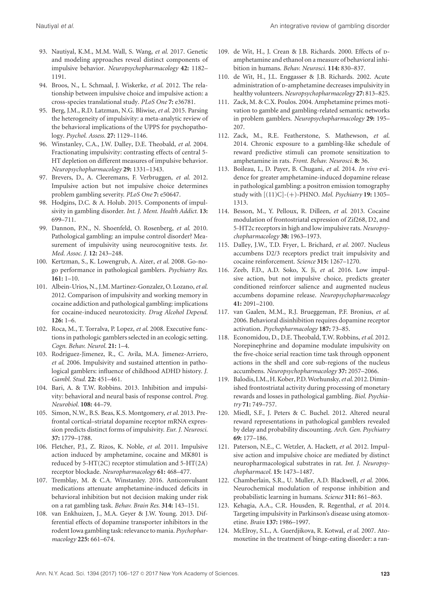- 93. Nautiyal, K.M., M.M. Wall, S. Wang, *et al*. 2017. Genetic and modeling approaches reveal distinct components of impulsive behavior. *Neuropsychopharmacology* **42:** 1182– 1191.
- 94. Broos, N., L. Schmaal, J. Wiskerke, *et al*. 2012. The relationship between impulsive choice and impulsive action: a cross-species translational study. *PLoS One* **7:** e36781.
- 95. Berg, J.M., R.D. Latzman, N.G. Bliwise, *et al*. 2015. Parsing the heterogeneity of impulsivity: a meta-analytic review of the behavioral implications of the UPPS for psychopathology. *Psychol. Assess.* **27:** 1129–1146.
- 96. Winstanley, C.A., J.W. Dalley, D.E. Theobald, *et al*. 2004. Fractionating impulsivity: contrasting effects of central 5- HT depletion on different measures of impulsive behavior. *Neuropsychopharmacology* **29:** 1331–1343.
- 97. Brevers, D., A. Cleeremans, F. Verbruggen, *et al*. 2012. Impulsive action but not impulsive choice determines problem gambling severity. *PLoS One* **7:** e50647.
- 98. Hodgins, D.C. & A. Holub. 2015. Components of impulsivity in gambling disorder. *Int. J. Ment. Health Addict.* **13:** 699–711.
- 99. Dannon, P.N., N. Shoenfeld, O. Rosenberg, *et al*. 2010. Pathological gambling: an impulse control disorder? Measurement of impulsivity using neurocognitive tests. *Isr. Med. Assoc. J.* **12:** 243–248.
- 100. Kertzman, S., K. Lowengrub, A. Aizer, *et al*. 2008. Go-nogo performance in pathological gamblers. *Psychiatry Res*. **161:** 1–10.
- 101. Albein-Urios, N., J.M. Martinez-Gonzalez, O. Lozano,*et al*. 2012. Comparison of impulsivity and working memory in cocaine addiction and pathological gambling: implications for cocaine-induced neurotoxicity. *Drug Alcohol Depend*. **126:** 1–6.
- 102. Roca, M., T. Torralva, P. Lopez, *et al*. 2008. Executive functions in pathologic gamblers selected in an ecologic setting. *Cogn. Behav. Neurol.* **21:** 1–4.
- 103. Rodriguez-Jimenez, R., C. Avila, M.A. Jimenez-Arriero, *et al*. 2006. Impulsivity and sustained attention in pathological gamblers: influence of childhood ADHD history. *J. Gambl. Stud.* **22:** 451–461.
- 104. Bari, A. & T.W. Robbins. 2013. Inhibition and impulsivity: behavioral and neural basis of response control. *Prog. Neurobiol.* **108:** 44–79.
- 105. Simon, N.W., B.S. Beas, K.S. Montgomery, *et al*. 2013. Prefrontal cortical–striatal dopamine receptor mRNA expression predicts distinct forms of impulsivity. *Eur. J. Neurosci.* **37:** 1779–1788.
- 106. Fletcher, P.J., Z. Rizos, K. Noble, *et al*. 2011. Impulsive action induced by amphetamine, cocaine and MK801 is reduced by 5-HT(2C) receptor stimulation and 5-HT(2A) receptor blockade. *Neuropharmacology* **61:** 468–477.
- 107. Tremblay, M. & C.A. Winstanley. 2016. Anticonvulsant medications attenuate amphetamine-induced deficits in behavioral inhibition but not decision making under risk on a rat gambling task. *Behav. Brain Res.* **314:** 143–151.
- 108. van Enkhuizen, J., M.A. Geyer & J.W. Young. 2013. Differential effects of dopamine transporter inhibitors in the rodent Iowa gambling task: relevance to mania. *Psychopharmacology* **225:** 661–674.
- 109. de Wit, H., J. Crean & J.B. Richards. 2000. Effects of Damphetamine and ethanol on a measure of behavioral inhibition in humans. *Behav. Neurosci.* **114:** 830–837.
- 110. de Wit, H., J.L. Enggasser & J.B. Richards. 2002. Acute administration of p-amphetamine decreases impulsivity in healthy volunteers. *Neuropsychopharmacology* **27:** 813–825.
- 111. Zack, M. & C.X. Poulos. 2004. Amphetamine primes motivation to gamble and gambling-related semantic networks in problem gamblers. *Neuropsychopharmacology* **29:** 195– 207.
- 112. Zack, M., R.E. Featherstone, S. Mathewson, *et al*. 2014. Chronic exposure to a gambling-like schedule of reward predictive stimuli can promote sensitization to amphetamine in rats. *Front. Behav. Neurosci.* **8:** 36.
- 113. Boileau, I., D. Payer, B. Chugani, *et al*. 2014. *In vivo* evidence for greater amphetamine-induced dopamine release in pathological gambling: a positron emission tomography study with [(11)C]-(+)-PHNO. *Mol. Psychiatry* **19:** 1305– 1313.
- 114. Besson, M., Y. Pelloux, R. Dilleen, *et al*. 2013. Cocaine modulation of frontostriatal expression of Zif268, D2, and 5-HT2c receptors in high and low impulsive rats. *Neuropsychopharmacology* **38:** 1963–1973.
- 115. Dalley, J.W., T.D. Fryer, L. Brichard, *et al*. 2007. Nucleus accumbens D2/3 receptors predict trait impulsivity and cocaine reinforcement. *Science* **315:** 1267–1270.
- 116. Zeeb, F.D., A.D. Soko, X. Ji, *et al*. 2016. Low impulsive action, but not impulsive choice, predicts greater conditioned reinforcer salience and augmented nucleus accumbens dopamine release. *Neuropsychopharmacology* **41:** 2091–2100.
- 117. van Gaalen, M.M., R.J. Brueggeman, P.F. Bronius, *et al*. 2006. Behavioral disinhibition requires dopamine receptor activation. *Psychopharmacology* **187:** 73–85.
- 118. Economidou, D., D.E. Theobald, T.W. Robbins, *et al*. 2012. Norepinephrine and dopamine modulate impulsivity on the five-choice serial reaction time task through opponent actions in the shell and core sub-regions of the nucleus accumbens. *Neuropsychopharmacology* **37:** 2057–2066.
- 119. Balodis, I.M., H.Kober, P.D.Worhunsky,*et al*. 2012. Diminished frontostriatal activity during processing of monetary rewards and losses in pathological gambling. *Biol. Psychiatry* **71:** 749–757.
- 120. Miedl, S.F., J. Peters & C. Buchel. 2012. Altered neural reward representations in pathological gamblers revealed by delay and probability discounting. *Arch. Gen. Psychiatry* **69:** 177–186.
- 121. Paterson, N.E., C. Wetzler, A. Hackett, *et al*. 2012. Impulsive action and impulsive choice are mediated by distinct neuropharmacological substrates in rat. *Int. J. Neuropsychopharmacol.* **15:** 1473–1487.
- 122. Chamberlain, S.R., U. Muller, A.D. Blackwell, *et al*. 2006. Neurochemical modulation of response inhibition and probabilistic learning in humans. *Science* **311:** 861–863.
- 123. Kehagia, A.A., C.R. Housden, R. Regenthal, *et al*. 2014. Targeting impulsivity in Parkinson's disease using atomoxetine. *Brain* **137:** 1986–1997.
- 124. McElroy, S.L., A. Guerdjikova, R. Kotwal, *et al*. 2007. Atomoxetine in the treatment of binge-eating disorder: a ran-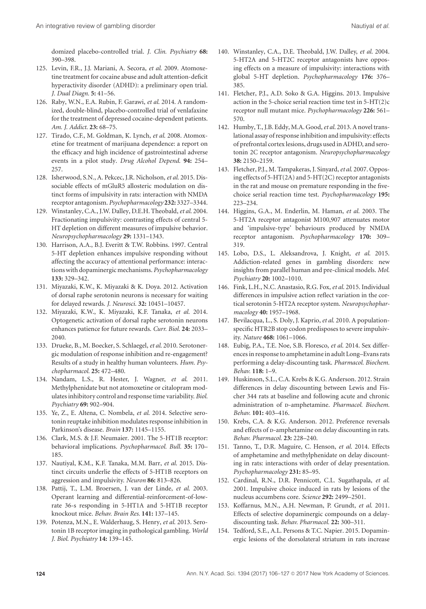domized placebo-controlled trial. *J. Clin. Psychiatry* **68:** 390–398.

- 125. Levin, F.R., J.J. Mariani, A. Secora, *et al*. 2009. Atomoxetine treatment for cocaine abuse and adult attention-deficit hyperactivity disorder (ADHD): a preliminary open trial. *J. Dual Diagn.* **5:** 41–56.
- 126. Raby, W.N., E.A. Rubin, F. Garawi, *et al*. 2014. A randomized, double-blind, placebo-controlled trial of venlafaxine for the treatment of depressed cocaine-dependent patients. *Am. J. Addict*. **23:** 68–75.
- 127. Tirado, C.F., M. Goldman, K. Lynch, *et al*. 2008. Atomoxetine for treatment of marijuana dependence: a report on the efficacy and high incidence of gastrointestinal adverse events in a pilot study. *Drug Alcohol Depend*. **94:** 254– 257.
- 128. Isherwood, S.N., A. Pekcec, J.R. Nicholson,*et al*. 2015. Dissociable effects of mGluR5 allosteric modulation on distinct forms of impulsivity in rats: interaction with NMDA receptor antagonism. *Psychopharmacology* **232:** 3327–3344.
- 129. Winstanley, C.A., J.W. Dalley, D.E.H. Theobald,*et al*. 2004. Fractionating impulsivity: contrasting effects of central 5- HT depletion on different measures of impulsive behavior. *Neuropsychopharmacology* **29:** 1331–1343.
- 130. Harrison, A.A., B.J. Everitt & T.W. Robbins. 1997. Central 5-HT depletion enhances impulsive responding without affecting the accuracy of attentional performance: interactions with dopaminergic mechanisms. *Psychopharmacology* **133:** 329–342.
- 131. Miyazaki, K.W., K. Miyazaki & K. Doya. 2012. Activation of dorsal raphe serotonin neurons is necessary for waiting for delayed rewards. *J. Neurosci.* **32:** 10451–10457.
- 132. Miyazaki, K.W., K. Miyazaki, K.F. Tanaka, *et al*. 2014. Optogenetic activation of dorsal raphe serotonin neurons enhances patience for future rewards. *Curr. Biol.* **24:** 2033– 2040.
- 133. Drueke, B., M. Boecker, S. Schlaegel,*et al*. 2010. Serotonergic modulation of response inhibition and re-engagement? Results of a study in healthy human volunteers. *Hum. Psychopharmacol.* **25:** 472–480.
- 134. Nandam, L.S., R. Hester, J. Wagner, *et al*. 2011. Methylphenidate but not atomoxetine or citalopram modulates inhibitory control and response time variability. *Biol. Psychiatry* **69:** 902–904.
- 135. Ye, Z., E. Altena, C. Nombela, *et al*. 2014. Selective serotonin reuptake inhibition modulates response inhibition in Parkinson's disease. *Brain* **137:** 1145–1155.
- 136. Clark, M.S. & J.F. Neumaier. 2001. The 5-HT1B receptor: behavioral implications. *Psychopharmacol. Bull.* **35:** 170– 185.
- 137. Nautiyal, K.M., K.F. Tanaka, M.M. Barr, *et al*. 2015. Distinct circuits underlie the effects of 5-HT1B receptors on aggression and impulsivity. *Neuron* **86:** 813–826.
- 138. Pattij, T., L.M. Broersen, J. van der Linde, *et al*. 2003. Operant learning and differential-reinforcement-of-lowrate 36-s responding in 5-HT1A and 5-HT1B receptor knockout mice. *Behav. Brain Res.* **141:** 137–145.
- 139. Potenza, M.N., E. Walderhaug, S. Henry, *et al*. 2013. Serotonin 1B receptor imaging in pathological gambling. *World J. Biol. Psychiatry* **14:** 139–145.
- 140. Winstanley, C.A., D.E. Theobald, J.W. Dalley, *et al*. 2004. 5-HT2A and 5-HT2C receptor antagonists have opposing effects on a measure of impulsivity: interactions with global 5-HT depletion. *Psychopharmacology* **176:** 376– 385.
- 141. Fletcher, P.J., A.D. Soko & G.A. Higgins. 2013. Impulsive action in the 5-choice serial reaction time test in  $5-HT(2)c$ receptor null mutant mice. *Psychopharmacology* **226:** 561– 570.
- 142. Humby, T., J.B. Eddy, M.A. Good,*et al*. 2013. A novel translational assay of response inhibition and impulsivity: effects of prefrontal cortex lesions, drugs used in ADHD, and serotonin 2C receptor antagonism. *Neuropsychopharmacology* **38:** 2150–2159.
- 143. Fletcher, P.J., M. Tampakeras, J. Sinyard,*et al*. 2007. Opposing effects of 5-HT(2A) and 5-HT(2C) receptor antagonists in the rat and mouse on premature responding in the fivechoice serial reaction time test. *Psychopharmacology* **195:** 223–234.
- 144. Higgins, G.A., M. Enderlin, M. Haman, *et al*. 2003. The 5-HT2A receptor antagonist M100,907 attenuates motor and 'impulsive-type' behaviours produced by NMDA receptor antagonism. *Psychopharmacology* **170:** 309– 319.
- 145. Lobo, D.S., L. Aleksandrova, J. Knight, *et al*. 2015. Addiction-related genes in gambling disorders: new insights from parallel human and pre-clinical models. *Mol. Psychiatry* **20:** 1002–1010.
- 146. Fink, L.H., N.C. Anastasio, R.G. Fox,*et al*. 2015. Individual differences in impulsive action reflect variation in the cortical serotonin 5-HT2A receptor system. *Neuropsychopharmacology* **40:** 1957–1968.
- 147. Bevilacqua, L., S. Doly, J. Kaprio,*et al*. 2010. A populationspecific HTR2B stop codon predisposes to severe impulsivity. *Nature* **468:** 1061–1066.
- 148. Eubig, P.A., T.E. Noe, S.B. Floresco, *et al*. 2014. Sex differences in response to amphetamine in adult Long–Evans rats performing a delay-discounting task. *Pharmacol. Biochem. Behav.* **118:** 1–9.
- 149. Huskinson, S.L., C.A. Krebs & K.G. Anderson. 2012. Strain differences in delay discounting between Lewis and Fischer 344 rats at baseline and following acute and chronic administration of **D-amphetamine**. *Pharmacol. Biochem. Behav.* **101:** 403–416.
- 150. Krebs, C.A. & K.G. Anderson. 2012. Preference reversals and effects of p-amphetamine on delay discounting in rats. *Behav. Pharmacol.* **23:** 228–240.
- 151. Tanno, T., D.R. Maguire, C. Henson, *et al*. 2014. Effects of amphetamine and methylphenidate on delay discounting in rats: interactions with order of delay presentation. *Psychopharmacology* **231:** 85–95.
- 152. Cardinal, R.N., D.R. Pennicott, C.L. Sugathapala, *et al*. 2001. Impulsive choice induced in rats by lesions of the nucleus accumbens core. *Science* **292:** 2499–2501.
- 153. Koffarnus, M.N., A.H. Newman, P. Grundt, *et al*. 2011. Effects of selective dopaminergic compounds on a delaydiscounting task. *Behav. Pharmacol.* **22:** 300–311.
- 154. Tedford, S.E., A.L. Persons & T.C. Napier. 2015. Dopaminergic lesions of the dorsolateral striatum in rats increase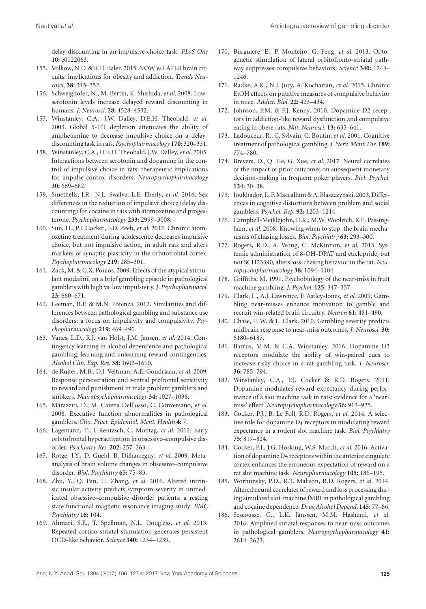delay discounting in an impulsive choice task. *PLoS One* **10:** e0122063.

- 155. Volkow, N.D. & R.D. Baler. 2015. NOW vs LATER brain circuits: implications for obesity and addiction. *Trends Neurosci*. **38:** 345–352.
- 156. Schweighofer, N., M. Bertin, K. Shishida, *et al*. 2008. Lowserotonin levels increase delayed reward discounting in humans. *J. Neurosci.* **28:** 4528–4532.
- 157. Winstanley, C.A., J.W. Dalley, D.E.H. Theobald, *et al*. 2003. Global 5-HT depletion attenuates the ability of amphetamine to decrease impulsive choice on a delaydiscounting task in rats. *Psychopharmacology* **170:** 320–331.
- 158. Winstanley, C.A., D.E.H. Theobald, J.W. Dalley,*et al*. 2005. Interactions between serotonin and dopamine in the control of impulsive choice in rats: therapeutic implications for impulse control disorders. *Neuropsychopharmacology* **30:** 669–682.
- 159. Smethells, J.R., N.L. Swalve, L.E. Eberly, *et al*. 2016. Sex differences in the reduction of impulsive choice (delay discounting) for cocaine in rats with atomoxetine and progesterone. *Psychopharmacology* **233:** 2999–3008.
- 160. Sun, H., P.J. Cocker, F.D. Zeeb, *et al*. 2012. Chronic atomoxetine treatment during adolescence decreases impulsive choice, but not impulsive action, in adult rats and alters markers of synaptic plasticity in the orbitofrontal cortex. *Psychopharmacology* **219:** 285–301.
- 161. Zack, M. & C.X. Poulos. 2009. Effects of the atypical stimulant modafinil on a brief gambling episode in pathological gamblers with high vs. low impulsivity. *J. Psychopharmacol.* **23:** 660–671.
- 162. Leeman, R.F. & M.N. Potenza. 2012. Similarities and differences between pathological gambling and substance use disorders: a focus on impulsivity and compulsivity. *Psychopharmacology* **219:** 469–490.
- 163. Vanes, L.D., R.J. van Holst, J.M. Jansen, *et al*. 2014. Contingency learning in alcohol dependence and pathological gambling: learning and unlearning reward contingencies. *Alcohol Clin. Exp. Res.* **38:** 1602–1610.
- 164. de Ruiter, M.B., D.J. Veltman, A.E. Goudriaan, *et al*. 2009. Response perseveration and ventral prefrontal sensitivity to reward and punishment in male problem gamblers and smokers. *Neuropsychopharmacology* **34:** 1027–1038.
- 165. Marazziti, D., M. Catena Dell'osso, C. Conversano, *et al*. 2008. Executive function abnormalities in pathological gamblers. *Clin. Pract. Epidemiol. Ment. Health* **4:** 7.
- 166. Lagemann, T., J. Rentzsch, C. Montag, *et al*. 2012. Early orbitofrontal hyperactivation in obsessive–compulsive disorder. *Psychiatry Res*. **202:** 257–263.
- 167. Rotge, J.Y., D. Guehl, B. Dilharreguy, *et al*. 2009. Metaanalysis of brain volume changes in obsessive–compulsive disorder. *Biol. Psychiatry* **65:** 75–83.
- 168. Zhu, Y., Q. Fan, H. Zhang, *et al*. 2016. Altered intrinsic insular activity predicts symptom severity in unmedicated obsessive–compulsive disorder patients: a resting state functional magnetic resonance imaging study. *BMC Psychiatry* **16:** 104.
- 169. Ahmari, S.E., T. Spellman, N.L. Douglass, *et al*. 2013. Repeated cortico-striatal stimulation generates persistent OCD-like behavior. *Science* **340:** 1234–1239.
- 170. Burguiere, E., P. Monteiro, G. Feng, *et al*. 2013. Optogenetic stimulation of lateral orbitofronto-striatal pathway suppresses compulsive behaviors. *Science* **340:** 1243– 1246.
- 171. Radke, A.K., N.J. Jury, A. Kocharian, *et al*. 2015. Chronic EtOH effects on putative measures of compulsive behavior in mice. *Addict. Biol.* **22:** 423–434.
- 172. Johnson, P.M. & P.J. Kenny. 2010. Dopamine D2 receptors in addiction-like reward dysfunction and compulsive eating in obese rats. *Nat. Neurosci.* **13:** 635–641.
- 173. Ladouceur, R., C. Sylvain, C. Boutin, *et al*. 2001. Cognitive treatment of pathological gambling. *J. Nerv. Ment. Dis.* **189:** 774–780.
- 174. Brevers, D., Q. He, G. Xue, *et al*. 2017. Neural correlates of the impact of prior outcomes on subsequent monetary decision-making in frequent poker players. *Biol. Psychol.* **124:** 30–38.
- 175. Joukhador, J., F.Maccallum & A. Blaszczynski. 2003. Differences in cognitive distortions between problem and social gamblers. *Psychol. Rep.* **92:** 1203–1214.
- 176. Campbell-Meiklejohn, D.K., M.W. Woolrich, R.E. Passingham, *et al*. 2008. Knowing when to stop: the brain mechanisms of chasing losses. *Biol. Psychiatry* **63:** 293–300.
- 177. Rogers, R.D., A. Wong, C. McKinnon, *et al*. 2013. Systemic administration of 8-OH-DPAT and eticlopride, but not SCH23390, alters loss-chasing behavior in the rat. *Neuropsychopharmacology* **38:** 1094–1104.
- 178. Griffiths, M. 1991. Psychobiology of the near-miss in fruit machine gambling. *J. Psychol.* **125:** 347–357.
- 179. Clark, L., A.J. Lawrence, F. Astley-Jones, *et al*. 2009. Gambling near-misses enhance motivation to gamble and recruit win-related brain circuitry. *Neuron* **61:** 481–490.
- 180. Chase, H.W. & L. Clark. 2010. Gambling severity predicts midbrain response to near-miss outcomes. *J. Neurosci.* **30:** 6180–6187.
- 181. Barrus, M.M. & C.A. Winstanley. 2016. Dopamine D3 receptors modulate the ability of win-paired cues to increase risky choice in a rat gambling task. *J. Neurosci.* **36:** 785–794.
- 182. Winstanley, C.A., P.J. Cocker & R.D. Rogers. 2011. Dopamine modulates reward expectancy during performance of a slot machine task in rats: evidence for a 'nearmiss' effect. *Neuropsychopharmacology* **36:** 913–925.
- 183. Cocker, P.J., B. Le Foll, R.D. Rogers, *et al*. 2014. A selective role for dopamine D4 receptors in modulating reward expectancy in a rodent slot machine task. *Biol. Psychiatry* **75:** 817–824.
- 184. Cocker, P.J., J.G. Hosking, W.S. Murch, *et al*. 2016. Activation of dopamine D4 receptors within the anterior cingulate cortex enhances the erroneous expectation of reward on a rat slot machine task. *Neuropharmacology* **105:** 186–195.
- 185. Worhunsky, P.D., R.T. Malison, R.D. Rogers, *et al*. 2014. Altered neural correlates of reward and loss processing during simulated slot-machine fMRI in pathological gambling and cocaine dependence. *Drug Alcohol Depend*. **145:** 77–86.
- 186. Sescousse, G., L.K. Janssen, M.M. Hashemi, *et al*. 2016. Amplified striatal responses to near-miss outcomes in pathological gamblers. *Neuropsychopharmacology* **41:** 2614–2623.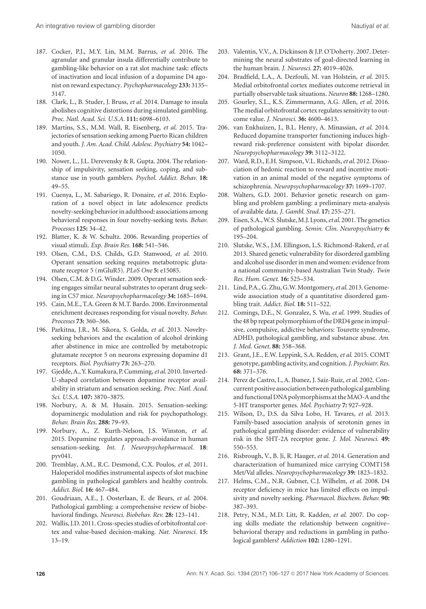- 187. Cocker, P.J., M.Y. Lin, M.M. Barrus, *et al*. 2016. The agranular and granular insula differentially contribute to gambling-like behavior on a rat slot machine task: effects of inactivation and local infusion of a dopamine D4 agonist on reward expectancy. *Psychopharmacology* **233:** 3135– 3147.
- 188. Clark, L., B. Studer, J. Bruss, *et al*. 2014. Damage to insula abolishes cognitive distortions during simulated gambling. *Proc. Natl. Acad. Sci. U.S.A.* **111:** 6098–6103.
- 189. Martins, S.S., M.M. Wall, R. Eisenberg, *et al*. 2015. Trajectories of sensation seeking among Puerto Rican children and youth. *J. Am. Acad. Child. Adolesc. Psychiatry* **54:** 1042– 1050.
- 190. Nower, L., J.L. Derevensky & R. Gupta. 2004. The relationship of impulsivity, sensation seeking, coping, and substance use in youth gamblers. *Psychol. Addict. Behav.* **18:** 49–55.
- 191. Cuenya, L., M. Sabariego, R. Donaire, *et al*. 2016. Exploration of a novel object in late adolescence predicts novelty-seeking behaviorin adulthood: associations among behavioral responses in four novelty-seeking tests. *Behav. Processes* **125:** 34–42.
- 192. Blatter, K. & W. Schultz. 2006. Rewarding properties of visual stimuli. *Exp. Brain Res.* **168:** 541–546.
- 193. Olsen, C.M., D.S. Childs, G.D. Stanwood, *et al*. 2010. Operant sensation seeking requires metabotropic glutamate receptor 5 (mGluR5). *PLoS One* **5:** e15085.
- 194. Olsen, C.M. & D.G. Winder. 2009. Operant sensation seeking engages similar neural substrates to operant drug seeking in C57 mice. *Neuropsychopharmacology* **34:** 1685–1694.
- 195. Cain, M.E., T.A. Green & M.T. Bardo. 2006. Environmental enrichment decreases responding for visual novelty. *Behav. Processes* **73:** 360–366.
- 196. Parkitna, J.R., M. Sikora, S. Golda, *et al*. 2013. Noveltyseeking behaviors and the escalation of alcohol drinking after abstinence in mice are controlled by metabotropic glutamate receptor 5 on neurons expressing dopamine d1 receptors. *Biol. Psychiatry* **73:** 263–270.
- 197. Gjedde, A., Y. Kumakura, P. Cumming,*et al*. 2010. Inverted-U-shaped correlation between dopamine receptor availability in striatum and sensation seeking. *Proc. Natl. Acad. Sci. U.S.A.* **107:** 3870–3875.
- 198. Norbury, A. & M. Husain. 2015. Sensation-seeking: dopaminergic modulation and risk for psychopathology. *Behav. Brain Res.* **288:** 79–93.
- 199. Norbury, A., Z. Kurth-Nelson, J.S. Winston, *et al*. 2015. Dopamine regulates approach-avoidance in human sensation-seeking. *Int. J. Neuropsychopharmacol.* **18**: pyv041.
- 200. Tremblay, A.M., R.C. Desmond, C.X. Poulos, *et al*. 2011. Haloperidol modifies instrumental aspects of slot machine gambling in pathological gamblers and healthy controls. *Addict. Biol.* **16:** 467–484.
- 201. Goudriaan, A.E., J. Oosterlaan, E. de Beurs, *et al*. 2004. Pathological gambling: a comprehensive review of biobehavioral findings. *Neurosci. Biobehav. Rev.* **28:** 123–141.
- 202. Wallis, J.D. 2011. Cross-species studies of orbitofrontal cortex and value-based decision-making. *Nat. Neurosci.* **15:** 13–19.
- 203. Valentin, V.V., A. Dickinson & J.P. O'Doherty. 2007. Determining the neural substrates of goal-directed learning in the human brain. *J. Neurosci.* **27:** 4019–4026.
- 204. Bradfield, L.A., A. Dezfouli, M. van Holstein, *et al*. 2015. Medial orbitofrontal cortex mediates outcome retrieval in partially observable task situations. *Neuron* **88:** 1268–1280.
- 205. Gourley, S.L., K.S. Zimmermann, A.G. Allen, *et al*. 2016. The medial orbitofrontal cortex regulates sensitivity to outcome value. *J. Neurosci.* **36:** 4600–4613.
- 206. van Enkhuizen, J., B.L. Henry, A. Minassian, *et al*. 2014. Reduced dopamine transporter functioning induces highreward risk-preference consistent with bipolar disorder. *Neuropsychopharmacology* **39:** 3112–3122.
- 207. Ward, R.D., E.H. Simpson, V.L. Richards,*et al*. 2012. Dissociation of hedonic reaction to reward and incentive motivation in an animal model of the negative symptoms of schizophrenia. *Neuropsychopharmacology* **37:** 1699–1707.
- 208. Walters, G.D. 2001. Behavior genetic research on gambling and problem gambling: a preliminary meta-analysis of available data. *J. Gambl. Stud.* **17:** 255–271.
- 209. Eisen, S.A.,W.S. Slutske,M.J. Lyons,*et al*. 2001. The genetics of pathological gambling. *Semin. Clin. Neuropsychiatry* **6:** 195–204.
- 210. Slutske, W.S., J.M. Ellingson, L.S. Richmond-Rakerd, *et al*. 2013. Shared genetic vulnerability for disordered gambling and alcohol use disorder in men and women: evidence from a national community-based Australian Twin Study. *Twin Res. Hum. Genet.* **16:** 525–534.
- 211. Lind, P.A., G. Zhu, G.W. Montgomery,*et al*. 2013. Genomewide association study of a quantitative disordered gambling trait. *Addict. Biol.* **18:** 511–522.
- 212. Comings, D.E., N. Gonzalez, S. Wu, *et al*. 1999. Studies of the 48 bp repeat polymorphism of the DRD4 gene in impulsive, compulsive, addictive behaviors: Tourette syndrome, ADHD, pathological gambling, and substance abuse. *Am. J. Med. Genet.* **88:** 358–368.
- 213. Grant, J.E., E.W. Leppink, S.A. Redden, *et al*. 2015. COMT genotype, gambling activity, and cognition.*J. Psychiatr. Res.* **68:** 371–376.
- 214. Perez de Castro, I., A. Ibanez, J. Saiz-Ruiz, *et al*. 2002. Concurrent positive association between pathological gambling and functional DNA polymorphisms at the MAO-A and the 5-HT transporter genes. *Mol. Psychiatry* **7:** 927–928.
- 215. Wilson, D., D.S. da Silva Lobo, H. Tavares, *et al*. 2013. Family-based association analysis of serotonin genes in pathological gambling disorder: evidence of vulnerability risk in the 5HT-2A receptor gene. *J. Mol. Neurosci.* **49:** 550–553.
- 216. Risbrough, V., B. Ji, R. Hauger, *et al*. 2014. Generation and characterization of humanized mice carrying COMT158 Met/Val alleles. *Neuropsychopharmacology* **39:** 1823–1832.
- 217. Helms, C.M., N.R. Gubner, C.J. Wilhelm, *et al*. 2008. D4 receptor deficiency in mice has limited effects on impulsivity and novelty seeking. *Pharmacol. Biochem. Behav.* **90:** 387–393.
- 218. Petry, N.M., M.D. Litt, R. Kadden, *et al*. 2007. Do coping skills mediate the relationship between cognitive– behavioral therapy and reductions in gambling in pathological gamblers? *Addiction* **102:** 1280–1291.